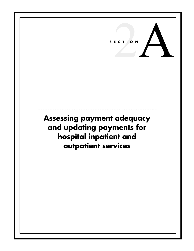# 2A **SECTION**

**Assessing payment adequacy and updating payments for hospital inpatient and outpatient services**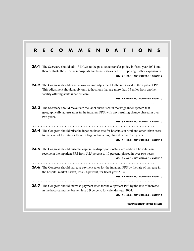| R. | E<br>Е                                                                                                                                                                                                                                                                                     |
|----|--------------------------------------------------------------------------------------------------------------------------------------------------------------------------------------------------------------------------------------------------------------------------------------------|
|    | <b>2A-1</b> The Secretary should add 13 DRGs to the post-acute transfer policy in fiscal year 2004 and<br>then evaluate the effects on hospitals and beneficiaries before proposing further expansions.<br>*YES: 15 . NO: 1 . NOT VOTING: 1 . ABSENT: 0                                    |
|    | <b>2A-2</b> The Congress should enact a low-volume adjustment to the rates used in the inpatient PPS.<br>This adjustment should apply only to hospitals that are more than 15 miles from another<br>facility offering acute inpatient care.<br>YES: 17 . NO: 0 . NOT VOTING: 0 . ABSENT: 0 |
|    | <b>2A-3</b> The Secretary should reevaluate the labor share used in the wage index system that<br>geographically adjusts rates in the inpatient PPS, with any resulting change phased in over<br>two years.<br>YES: 16 . NO: 0 . NOT VOTING: 1 . ABSENT: 0                                 |
|    | <b>2A-4</b> The Congress should raise the inpatient base rate for hospitals in rural and other urban areas<br>to the level of the rate for those in large urban areas, phased in over two years.<br>YES: 17 . NO: 0 . NOT VOTING: 0 . ABSENT: 0                                            |
|    | .<br><b>2A-5</b> The Congress should raise the cap on the disproportionate share add-on a hospital can<br>receive in the inpatient PPS from 5.25 percent to 10 percent, phased in over two years.<br>YES: 15 . NO: 1 . NOT VOTING: 1 . ABSENT: 0                                           |
|    | 2A-6 The Congress should increase payment rates for the inpatient PPS by the rate of increase in<br>the hospital market basket, less 0.4 percent, for fiscal year 2004.<br>YES: 17 . NO: 0 . NOT VOTING: 0 . ABSENT: 0                                                                     |
|    | 2A-7 The Congress should increase payment rates for the outpatient PPS by the rate of increase<br>in the hospital market basket, less 0.9 percent, for calendar year 2004.<br>YES: 17 . NO: 0 . NOT VOTING: 0 . ABSENT: 0                                                                  |
|    | *COMMISSIONERS' VOTING RESULTS                                                                                                                                                                                                                                                             |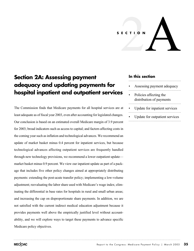# 2A **SECTION**

# **Section 2A: Assessing payment adequacy and updating payments for hospital inpatient and outpatient services**

The Commission finds that Medicare payments for all hospital services are at least adequate as of fiscal year 2003, even after accounting for legislated changes. Our conclusion is based on an estimated overall Medicare margin of 3.9 percent for 2003; broad indicators such as access to capital; and factors affecting costs in the coming year such as inflation and technological advances. We recommend an update of market basket minus 0.4 percent for inpatient services, but because technological advances affecting outpatient services are frequently handled through new technology provisions, we recommend a lower outpatient update market basket minus 0.9 percent. We view our inpatient update as part of a package that includes five other policy changes aimed at appropriately distributing payments: extending the post-acute transfer policy; implementing a low-volume adjustment; reevaluating the labor share used with Medicare's wage index; eliminating the differential in base rates for hospitals in rural and small urban areas; and increasing the cap on disproportionate share payments. In addition, we are not satisfied with the current indirect medical education adjustment because it provides payments well above the empirically justified level without accountability, and we will explore ways to target these payments to advance specific Medicare policy objectives.

# **In this section**

- Assessing payment adequacy
- Policies affecting the distribution of payments
- Update for inpatient services
- Update for outpatient services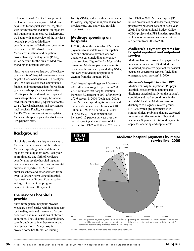In this section of Chapter 2, we present the Commission's analysis of Medicare payments for hospital services, together with seven recommendations on inpatient and outpatient payments. As background, we begin with an overview of the services hospitals provide to Medicare beneficiaries and of Medicare spending on these services. We also describe Medicare's inpatient and outpatient prospective payment systems (PPSs), which account for the bulk of Medicare spending on hospital services.

Next, we analyze the adequacy of Medicare payments for *all* hospital services—inpatient, outpatient, and other services—in fiscal year 2003**.** We then discuss the Commission's findings and recommendations for Medicare payments to hospitals under the inpatient PPS for patients transferred from inpatient hospital to post-acute settings, the indirect medical education (IME) adjustment for the costs of teaching hospitals, and payments to rural hospitals. Finally, we present MedPAC's recommendations for updates to Medicare's hospital inpatient and outpatient PPS payment rates.

# **Background**

Hospitals provide a variety of services to Medicare beneficiaries, but the bulk of Medicare spending on hospitals is for inpatient and outpatient care. Each year, approximately one-fifth of Medicare beneficiaries receive hospital inpatient care, and one-half receive care in hospital outpatient departments. Medicare purchases these and other services from over 4,800 short-term general hospitals that meet its conditions of participation and agree to accept the program's payment rates as full payment.

#### **The services hospitals provide**

Short-term general hospitals provide Medicare beneficiaries with inpatient care for the diagnosis and treatment of acute conditions and manifestations of chronic conditions. They also provide ambulatory care through outpatient departments and emergency rooms. Many hospitals provide home health, skilled nursing

facility (SNF), and rehabilitation services following surgery or an inpatient stay for medical care, and many also furnish psychiatric care.

#### **Medicare spending on hospitals**

In 2000, about three-fourths of Medicare payments to hospitals were for inpatient care and about one-seventh was for outpatient care, including emergency room services (Figure 2A-1). Most of the remaining Medicare payments went for home health care, care provided by SNFs, and care provided by hospital units exempt from the inpatient PPS.

Total hospital spending grew 8.3 percent in 2001 after increasing 5.8 percent in 2000. CMS estimates that hospital inflation increased 3.2 percent in 2001 after growth of 2.6 percent in 2000 (Levit et al. 2003). Total Medicare spending for inpatient and outpatient care increased from about \$83 billion in 1992 to \$119 billion in 2001 (Figure 2A-2). These expenditures increased 4.2 percent per year over the period, growing at annual rates of 4.9 percent from 1992 to 1998 and 2.7 percent

from 1998 to 2001. Medicare spent \$86 billion on services paid under the inpatient prospective payment system in fiscal year 2001. The Congressional Budget Office (CBO) projects that PPS inpatient spending will increase at an average annual rate of 6.2 percent from 2002 to 2007.

#### **Medicare's payment systems for hospital inpatient and outpatient services**

Medicare has used prospective payment for inpatient services since 1984. Medicare introduced prospective payment for hospital outpatient department services (including emergency room services) in 2000.

#### **Medicare's hospital inpatient PPS**

Medicare's hospital inpatient PPS pays hospitals predetermined amounts per discharge based primarily on the patient's condition and market conditions in the hospitals' location. Medicare assigns discharges to diagnosis related groups (DRGs), which group patients with similar clinical problems that are expected to require similar amounts of hospital resources. Separate DRG-based payments apply for operating and capital costs.



Source: MedPAC analysis of Medicare cost report data from CMS.

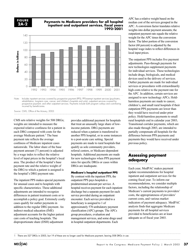#### **FIGURE 2A-2**

#### **Payments to Medicare providers for all hospital inpatient and outpatient services, fiscal years 1992–2001**



CMS sets relative weights for 508 DRGs; weights are intended to measure the expected relative costliness for a patient in each DRG compared with costs for the average Medicare patient.<sup>1</sup> The base payment rate reflects the average costliness of Medicare inpatient cases nationwide. The labor share of the base payment amount (71 percent) is adjusted by a wage index to reflect the relative level of input prices in the hospital's local area. The product of the hospital's base payment rate and the relative weight of the DRG to which a patient is assigned is the hospital's DRG payment rate.

The inpatient PPS makes special payments for unusual cases and to hospitals with specific characteristics. These additional adjustments are intended to recognize differences in patient treatment costs or to accomplish a policy goal. Extremely costly cases qualify for outlier payments in addition to the regular DRG payment. An indirect medical education (IME) adjustment accounts for the higher patient care costs of teaching hospitals. The disproportionate share (DSH) adjustment

provides additional payment for hospitals that treat an unusually large share of lowincome patients. DRG payments are reduced when a patient is transferred to another PPS hospital, or in some instances to a post-acute care setting. Special payments are made to rural hospitals that qualify as sole community providers, referral centers, or Medicare-dependent hospitals. Additional payments are made for new technologies when PPS payment rates for specific DRGs or cases within DRGs are inadequate.

#### **Medicare's hospital outpatient PPS**

By contrast with the inpatient PPS, the outpatient PPS pays hospitals a predetermined amount per service. A hospital receives payment for each inpatient discharge but a separate payment for each service provided during an outpatient encounter. Each service provided to a beneficiary is assigned to 1 of approximately 570 ambulatory payment classification (APC) groups. The APCs group procedures, evaluation and management services, and some drugs used in hospital outpatient departments. Each

APC has a relative weight based on the median cost of the services grouped in the APC. A conversion factor translates relative weights into dollar payment amounts; the outpatient payment rate equals the relative weight for the APC times the conversion factor. The labor portion of the conversion factor (60 percent) is adjusted by the hospital wage index to reflect differences in local input prices.

The outpatient PPS includes five payment adjustments. Pass-through payments for new technologies supplement payments for individual services. These technologies include drugs, biologicals, and medical devices used in the delivery of services. Outlier payments are made for individual services or procedures with extraordinarily high costs relative to the payment rate for the APC. In addition, certain services are assigned to new technology APCs. Holdharmless payments are made to cancer, children's, and small rural hospitals if their outpatient PPS payments are lower than they would have received under prior policy. Hold-harmless payments to small rural hospitals end in calendar year 2003**.** Transitional corridor payments, which are also made through 2003, are intended to partially compensate all hospitals for the difference between PPS payments and payments they would have received under previous policy.

# **Assessing payment adequacy**

Each year, MedPAC makes payment update recommendations for hospital inpatient and outpatient services for the coming fiscal year. To inform our recommendations, we consider multiple factors, including the relationship of Medicare's current payments to providers' costs, the appropriateness of providers' current costs, and various market indicators of payment adequacy. MedPAC analysis finds that aggregate Medicare payments for all hospital services provided to beneficiaries are at least adequate as of fiscal year 2003.

There are 527 DRGs in 2003, but 19 of these are no longer used for Medicare payment, leaving 508 DRGs in use.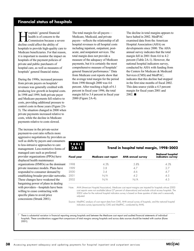# **Financial status of hospitals**

ospitals' general financial health is of concern to the Commission because a severe decline could affect the ability of hospitals to provide high-quality care to Medicare beneficiaries. For that reason, it is important to monitor the impact on hospitals of the payment policies of private and public purchasers of hospital care, as well as measures of hospitals' general financial status.

During the 1990s, increased pressure from private payers on hospitals' revenues was generally credited with producing low growth in hospital costs. In 1998 and 1999, both private payer and Medicare payments fell relative to costs, providing additional pressure to control costs in those years (Figure 2A-3). The situation changed in 2000 when private payments increased relative to costs, while the decline in Medicare payments relative to costs slowed.

The increase in the private-sector payment-to-cost ratio reflects more aggressive negotiations by providers as well as shifts by payers and consumers to less-intrusive approaches to care management. Less-restrictive forms of managed care such as preferred provider organizations (PPOs) have displaced health maintenance organizations (HMOs) as the dominant private insurance models. Plans have responded to consumer demand by establishing broader provider networks. These changes have weakened the bargaining power of plans in dealing with providers—hospitals have been willing to cease contracting with specific plans to avoid price concessions (Strunk 2001).

The total margin for all payers— Medicare, Medicaid, and private payers—reflects the relationship of all hospital revenues to all hospital costs including inpatient, outpatient, postacute, and nonpatient services. The total margin does not provide a measure of the adequacy of Medicare payments, but it is certainly the most comprehensive measure of hospitals' general financial performance.<sup>1</sup> Data from Medicare cost reports show that the average total margin for the period from 1990 through 2000 was 4.6 percent. After reaching a high of 6.1 percent in fiscal year 1996, the total margin fell to 3.4 percent in fiscal year 2000 (Figure 2A-4).

The decline in total margins appears to have halted in 2002. MedPAC examined data from the American Hospital Association (AHA) on developments since 2000. The AHA annual survey indicates that the total margin fell in 2001 from 4.6 to 4.2 percent (Table 2A-1). However, the national hospital indicators survey, conducted by AHA with funding from the Centers for Medicare & Medicaid Services (CMS) and MedPAC, indicates that this decline had stopped in the first nine months of fiscal 2002. This data source yields a 4.5 percent margin for fiscal years 2001 and  $2002.$ 

| - | ۰÷, | 24. | г. |
|---|-----|-----|----|
|   |     |     |    |

# **Trend in hospital total margin, 1998–2002**

| <b>Fiscal year</b> | Medicare cost report | <b>AHA annual survey</b> | National hospital<br>indicators survey |
|--------------------|----------------------|--------------------------|----------------------------------------|
| 1998               | 4.3%                 | 5.8%                     | 4 3%                                   |
| 1999               | 3.8                  | 47                       | 27                                     |
| 2000               | 3.4                  | 4.6                      |                                        |
| 2001               | N/A                  | 42                       | 4.5                                    |
| 2002               | n/a                  | \I / A                   | 15                                     |

Note: AHA (American Hospital Association). Medicare cost report margins are imputed for hospitals whose 2000 cost reports were not available (about 27 percent of observations) and exclude critical access hospitals. The 2002 value for the national hospital indicators survey is based on three quarters of data and is seasonally adjusted.

Source: MedPAC analysis of cost report data from CMS, AHA annual survey of hospitals, and the national hospital indicators survey (sponsored by CMS and MedPAC, conducted by AHA).

<sup>1</sup> There is substantial variation in financial reporting among hospitals and between the Medicare cost report and audited financial statements of individual hospitals. These considerations suggest that comparisons of total margins among hospitals and across data sources should be treated with caution (Kane  $20011$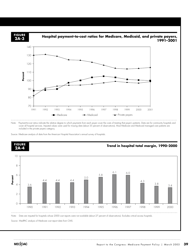

Note: Payment-to-cost ratios indicate the relative degree to which payments from each payer cover the costs of treating that payer's patients. Data are for community hospitals and cover all hospital services. Imputed values were used for missing data (about 35 percent of observations). Most Medicare and Medicaid managed care patients are included in the private payers category.

Source: Medicare analysis of data from the American Hospital Association's annual survey of hospitals.



MECOAC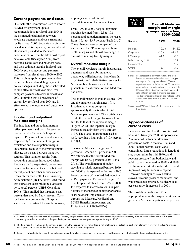# **Current payments and costs**

One factor the Commission uses to inform its Medicare payment update recommendations for fiscal year 2004 is the estimated relationship between Medicare payments and costs (margins) for fiscal year 2003. Separate margins can be calculated for inpatient, outpatient, and all services provided to Medicare beneficiaries. We use the latest cost report data available (fiscal year 2000) from hospitals as the cost and payment base, and then estimate margins in fiscal year 2003 by projecting cost and payment increases from fiscal years 2000 to 2003. This involves applying payment updates in current law and modeling payment policy changes, including those scheduled to take effect in fiscal year 2004. We compare payments to costs in fiscal year 2003 assuming that all provisions of current law for fiscal year 2004 are in effect except the inpatient and outpatient updates.

#### **Inpatient and outpatient Medicare margins**

The inpatient and outpatient margins reflect payments and costs for services covered under Medicare's hospital inpatient PPS and all outpatient services, respectively.<sup>2</sup> The inpatient margin is overstated and the outpatient margin understated because of the way hospitals allocate their costs between these two settings. This variation results from accounting practices introduced when Medicare paid prospectively determined payments for inpatient services but paid for outpatient and other services at cost. Research for the Health Care Financing Administration (HCFA, now CMS) found that outpatient costs might be overstated by 15 to 20 percent (CHPS Consulting 1994). $3$  This implied that inpatient costs were understated by 3 to 4 percent. Costs for the other components of hospital services are overstated for similar reasons, implying a small additional understatement on the inpatient side.

From 1999 to 2000, hospital inpatient margins declined from 12.3 to 10.8 percent, and outpatient margins increased from  $-16.4$  to  $-13.7$  percent (Table 2A-2). These changes were accompanied by increases in the PPS-exempt and home health margins and almost no change in the skilled nursing facility margin.

#### **Overall Medicare margin**

The overall Medicare margin incorporates payments and costs for inpatient, outpatient, skilled nursing, home health, psychiatric, and rehabilitative services for Medicare beneficiaries, as well as graduate medical education and Medicare bad debts.<sup>4</sup>

The overall margin is available since 1996 and the inpatient margin since 1984. Inpatient payments comprise approximately three-fourths of total Medicare payments to PPS hospitals**.** As a result, the overall margin follows a trend similar to that of the inpatient margin (Figure 2A-5). The inpatient margin increased steadily from 1991 through 1997. The overall margin increased as well, reaching a high point of 10.4 percent in 1997.

The overall Medicare margin was 5.1 percent in 1999 and 5.0 percent in 2000. We estimate that the overall Medicare margin will be 3.9 percent in 2003 (Table 2A-3). The overall margin of major teaching hospitals increased between 1999 and 2000 but is expected to decline in 2003, largely because of the scheduled reduction in IME payments. The overall margin of rural hospitals declined from 1999 to 2000. It is expected to increase by 2003, in part because of the increase in disproportionate share payments implemented in 2001 through the Medicare, Medicaid, and SCHIP Benefits Improvement and Protection Act of 2000 (BIPA).

# **TABLE**

#### **2A-2 Overall Medicare margin and margin by major service line, 1999–2000**

| <b>Service</b>           | 1999    | 2000    |
|--------------------------|---------|---------|
| Inpatient                | 12.3%   | 10.8%   |
| Outpatient               | $-164$  | $-13.7$ |
| PPS-exempt               | $-18$   | 06      |
| Skilled nursing facility | $-55.9$ | $-57.4$ |
| Home health              | $-13.1$ | -9.9    |
| Overall                  | .5 1    | 5.0     |
|                          |         |         |

Note: PPS (prospective payment system). Data are based on Medicare-allowable costs. Margins are imputed for hospitals whose 2000 cost reports were not available (about 27 percent of observations). Excludes critical access hospitals. PPS-exempt includes inpatient psychiatric and rehabilitation services. Payments and costs for graduate medical education are included in the overall Medicare margin but not in the other margins.

Source: MedPAC analysis of Medicare cost report data from CMS.

#### **Appropriateness of current costs**

In general, we find that the hospital cost base as of fiscal year 2003 is appropriate. A number of factors put downward pressure on costs in the late 1990s and 2000, so that hospital costs were constrained. Large reductions in length of stay occurred in the mid-1990s, and revenue pressure from both private and public payers increased in 1998 and 1999. Declining interest rates reduced costs and improved hospital access to capital. However, as length-of-stay decline slowed, revenue pressure moderated, and wage pressures emerged, Medicare costper-case growth increased in 2001.

The most direct indicator of the appropriateness of the hospital cost base is growth in Medicare inpatient cost per case

2 Outpatient margins encompass all outpatient services, not just outpatient PPS services. This approach provides consistency over time and reflects the fact that cost reporting periods for some hospitals span the implementation of the new payment system in August 2000.

3 The final report of HCFA's study contains a series of DRG-specific values, rather than a national figure for outpatient cost overstatement. However, the study's principal investigator has estimated that the national figure is between 15 and 20 percent.

4 Because of data limitations, small amounts spent on certain other services, such as ambulance and hospice, are not reflected in the overall Medicare margin.

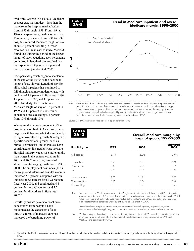over time. Growth in hospitals' Medicare cost per case was modest—less than the increase in the hospital market basket from 1993 through 1998. From 1994 to 1996, cost-per-case growth was negative. This is partly because from 1990 to 1999 hospitals reduced Medicare length of stay about 33 percent, resulting in lower resource use. In an earlier study, MedPAC found that during the period of the largest length-of-stay reductions, each percentage point drop in length of stay resulted in a corresponding 0.8 percent drop in real costs per case (Ashby et al. 2000).

Cost-per-case growth began to accelerate at the end of the 1990s as the decline in length of stay slowed. Length of stay for all hospital inpatients has continued to fall, though at a more moderate rate, with declines of 1.8 percent in fiscal year 1999, 1.9 percent in 2000, and 1.3 percent in 2001. Similarly, the reductions in Medicare length of stay of 1.3 percent in 1999 and 1.9 percent in 2000 trailed annual declines exceeding 5.5 percent from 1993 through 1996.

Wages are the largest component of the hospital market basket. As a result, recent wage growth has contributed significantly to higher overall cost growth. Shortages of specific occupational groups, such as nurses, pharmacists, and therapists, have contributed to this greater wage pressure. Hospital industry wages rose more rapidly than wages in the general economy in 2001 and 2002, reversing a trend of slower hospital wage growth from 1994 to 2000. The employment cost index (ECI) for wages and salaries of hospital workers increased 5.4 percent compared with an increase of 3.6 percent for all workers in fiscal year 2001, and continued at 4.4 percent for hospital workers and 3.2 percent for all workers in fiscal year 2002.5

Efforts by private payers to exact price concessions from hospitals have moderated as the expansion of lessintrusive forms of managed care has increased the bargaining power of



#### **Trend in Medicare inpatient and overall Medicare margin,1990–2000**



Note: Data are based on Medicare-allowable costs and imputed for hospitals whose 2000 cost reports were not available (about 27 percent of observations). Excludes critical access hospitals. Overall Medicare margin covers the costs and payments of hospital inpatient, outpatient, psychiatric and rehabilitation (prospective payment system exempt), skilled nursing facility, and home health services, as well as graduate medical education. Data on overall Medicare margin are unavailable before 1996.

Source: MedPAC analysis of Medicare cost report data from CMS.

|          |        | <b>Overall Medicare margin by</b><br>hospital group, 1999-2003 |  |
|----------|--------|----------------------------------------------------------------|--|
| 1999     | 2000   | <b>Estimated</b><br>2003                                       |  |
| 5.1%     | 50%    | 3.9%                                                           |  |
| 8.4      | 8.4    | 6.9                                                            |  |
| 3.3      | 2.9    | 17                                                             |  |
| $-2.5$   | $-29$  | $-1.9$                                                         |  |
| 13.7     | 14.9   | 12.7                                                           |  |
| 5.7      | 5.0    | 3.8                                                            |  |
| $\cap$ 1 | $-0.2$ | $-06$                                                          |  |
|          |        |                                                                |  |

Note: Data are based on Medicare-allowable costs. Margins are imputed for hospitals whose 2000 cost reports were not available (about 27 percent of observations). Excludes critical access hospitals. Projections for 2003 reflect the effects of all policy changes implemented between 2000 and 2003, plus policy changes other than updates that are scheduled under current law to go into effect in 2004.

Overall Medicare margin covers the costs and payments of hospital inpatient, outpatient, psychiatric, rehabilitation, skilled nursing facility, and home health services, as well as graduate medical education.

Source: MedPAC analysis of Medicare cost report and market basket data from CMS, American Hospital Association (AHA) annual survey of hospitals, and the national hospital indicators survey (sponsored by CMS and MedPAC, and conducted by AHA).

5 Growth in the ECI for wages and salaries of hospital workers is reflected in the market basket, which leads to higher payments under both the inpatient and outpatient PPSs.

**MECOAC**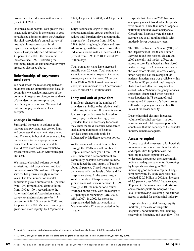providers in their dealings with insurers (Levit et al. 2003).

One measure of hospital cost growth that is available for 2001 is the change in cost per adjusted admission from the American Hospital Association's annual survey of hospitals. It measures costs for all inpatient and outpatient services for all payers. Cost per adjusted admission rose 4.7 percent in 2001—the most rapid increase since 1992—reflecting the stabilizing length of stay and greater wage pressures discussed above.

#### **Relationship of payments and costs**

We next assess the relationship between payments and an appropriate cost base. In doing this, we consider measures of the volume of hospital services, entry and exit of providers, access to capital, and beneficiary access to care. We conclude that current payments are at least adequate.

#### **Changes in volume**

Substantial increases in volume could indicate that payment rates are too high, and decreases that payment rates are too low. The trend in hospital volume also has implications for the appropriateness of costs. If volume increases, hospitals should have more cases over which to spread fixed costs, which will reduce perunit cost.

We measure hospital volume by total admissions, total days of care, and total outpatient visits. The volume of hospital services has grown strongly in recent years. The total number of hospital admissions grew a cumulative 6.1 percent from 1990 through 2000 despite falling from 1990 to 1994. According to the American Hospital Association annual survey, total admissions grew by 1.7 percent in 1999, 2.3 percent in 2000, and 2.2 percent in 2001. Medicare discharges grew even more rapidly, by 1.9 percent in

1999, 4.2 percent in 2000, and 3.2 percent in 2001.

Large declines in length of stay and modest admissions growth combined to reduce total inpatient days at community hospitals by 15 percent from 1990 to 1998. Stabilizing length of stay and faster admission growth have since turned this reduction around, with an increase of 1.4 percent from 1998 to 2001 to about 195 million days.

Total outpatient visits have increased steadily over 20 years. Total outpatient visits to community hospitals, including emergency visits, increased 73 percent from 1990 to 2000. Growth continued in 2001, with an increase of 3.3 percent over 2000 to almost 540 million visits.

#### **Entry and exit of providers**

Significant changes in the number of providers can indicate the relative health of the hospital market. If payments are too low, some providers may be forced to close; if payments are too high, more providers than are necessary for access may enter the field. Because Medicare is such a large purchaser of hospital services, entry and exit could be influenced by Medicare payment policy.

As the volume of patient days declined through the 1990s, a small number of hospitals closed each year. From 1990 to 2000, there was a net reduction of 469 community hospitals across the country. This reduced the total supply of beds by about 10 percent. Closed hospitals tend to be in areas with low levels of demand for hospital services. At the same time, a smaller number of hospitals opened each year in areas with excess demand. In 1999 through 2001, the number of closures averaged 56 per year, with an average of 21 openings or reopenings (OIG 2002, AHA 2002). In 2002, 52 short stay hospitals ended their participation in Medicare while 42 were accepted in the program.6

Hospitals that closed in 2000 had low occupancy rates. Closed urban hospitals were smaller in size than urban hospitals nationally and had lower occupancy. Closed rural hospitals were the same average size as all rural hospitals with modestly lower occupancy rates.

The Office of Inspector General (OIG) of the Department of Health and Human Services found that hospital closures in 2000 generally had modest effects on access to care. Rural hospitals that closed had an average of 23 patients each day in the year before closure, whereas closing urban hospitals had an average of 70 patients. Inpatient care was available within 20 miles of 86 percent of rural hospitals that closed and all urban hospitals that closed. While 24-hour emergency services sometimes disappeared when hospitals closed, patients in 73 percent of rural closures and 91 percent of urban closures still had emergency services within 10 miles of the closed facility.

Despite hospital closures, increased volume of hospital services—in both admissions and total days—supports the conclusion that the capacity of the hospital industry remains adequate.

#### **Access to capital**

Access to capital is necessary for hospitals to maintain and modernize their facilities and capabilities for patient care. An inability to access capital that was widespread throughout the sector might indicate inadequate payments. Borrowing by hospitals was strong in 2002, indicating good access to capital. Longterm borrowing by acute care hospitals reached \$20.0 billion in 2002, an increase of 7.3 percent over 2001.7 Because about 85 percent of nongovernment short-term acute care hospitals are nonprofit, the level of borrowing is a strong indicator of access to capital for the hospital industry.

Hospitals obtain capital through equity markets (in the case of for-profit hospitals), bond markets, bank lending, receivables financing, and cash flow. The

```
6 MedPAC analysis of CMS data on number of new participating hospitals, January 2002 to December 2002.
```
7 MedPAC analysis of data on general acute care long-term bond issuance, Thomson Corporation, January 28, 2003.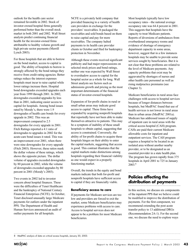outlook for the health care sector remained favorable in 2002. Stock of investor-owned hospital firms generally performed better than the overall stock market in both 2001 and 2002. Wall Street analysts predict continuing financial health for the investor-owned firms attributable to healthy volume growth and high private sector payments (Merrill Lynch 2003).

For those hospitals that are able to borrow on the bond market, access to capital is good. The ability of hospitals to borrow is strongly affected by the bond ratings they receive from credit rating agencies. Better ratings reduce the interest expenses hospitals must incur to raise capital while lower ratings increase them. Hospital bond downgrades exceeded upgrades each year from 1999 through 2001. In 2002, downgrades exceeded upgrades by less than in 2001, indicating easier access to capital for hospitals. Among bond issues rated by Moody's, there were 1.9 downgrades of health care bonds for every upgrade in 2002. This was an improvement compared to 2.5 downgrades for every upgrade in 2001. Fitch Ratings reported a 4:1 ratio of downgrades to upgrades in 2002 for the acute-care bond issues it rated. This was an improvement over 2001, when there were nine downgrades for every upgrade (Fitch 2003). However, these ratios mask the dollar volume of these ratings, which shows the opposite picture. The dollar volume of upgrades exceeded downgrades by 80 percent in 2002, while the volume of downgrades exceeded upgrades by 80 percent in 2001 (Moody's 2003).

Two events in 2002 led to investor concern about hospital finances. These were the difficulties of Tenet Healthcare and the bankruptcy of National Century Financial Enterprises (NCFE). In October, Tenet disclosed unusually large Medicare payments for outliers under the inpatient PPS. The Department of Health and Human Services announced an audit of outlier payments for all hospitals.

NCFE is a privately held company that provided financing to a variety of health care providers in exchange for the providers' receivables. It packaged the receivables and sold bonds based on them to raise capital and pay for more receivables. The company halted payments to its health care provider clients in October and filed for bankruptcy protection in November.

Although these events received significant publicity and had major repercussions on selected stock prices and bond ratings, neither one was expected by Wall Street to overshadow access to capital for the hospital sector as a whole for long. Wall Street analysts see factors such as admissions growth and pricing as the most important determinants of the financial status of investor-owned hospitals.

Expansion of for-profit chains in rural or small urban areas may indicate good access to capital. These firms have expanded by acquiring nonprofit hospitals that reportedly have not been able to make themselves attractive to patients. This may be a symptom of inability of these small hospitals to obtain capital, suggesting that access is constrained. Conversely, the ability of for-profit chains to acquire these hospitals hinges on their ability to enter the capital markets, suggesting that access is good. This contrast illustrates that the capital markets make distinctions among hospitals regarding their financial viability as one would expect in a properly functioning market.

Overall, the trends in the equity and bond markets indicate that both for-profit and nonprofit hospitals have sufficient access to capital if they are financially viable.

#### **Beneficiary access to care**

If payments for Medicare services are too low and providers are forced to exit the market, some Medicare beneficiaries may experience problems with access to care. Access to hospital services does not appear to be a problem for most Medicare beneficiaries.

Most hospitals typically have low occupancy rates—the national average occupancy rate was 64.4 percent in 2001. This suggests that hospitals have the capacity to treat Medicare patients. Reports of diversions of ambulances from overburdened emergency rooms and evidence of shortage of emergency department capacity in some areas, however, suggest that in a few instances hospitals may be unable to provide some services sought by beneficiaries. But it is not clear that these problems are related to the level of Medicare payments. Any capacity problems that exist may be aggravated by shortages of nurses and other health care personnel as well as rising malpractice premiums (see Chapter 3).

Medicare beneficiaries in rural areas face challenges with access to hospital services because of longer distances between hospitals, but MedPAC found that use of health services is not lower in rural areas than in urban areas (MedPAC 2001a). Medicare has addressed issues of supply of inpatient care in rural areas with the critical access hospital (CAH) program. CAHs are paid their current Medicare allowable costs for inpatient and outpatient services. The CAH program requires a hospital to be located in an isolated area without another nearby provider, or to be designated as an essential provider in a state health plan. The program has grown rapidly from 375 hospitals in April 2001 to 725 in January 2003.8

# **Policies affecting the distribution of payments**

In this section, we discuss six components of the inpatient PPS that we believe could be modified to improve the distribution of payments. For the first component, we recommend extending the post acute transfer policy to 13 additional DRGs (Recommendation 2A-1). For the second one, we discuss the need to explore ways

<sup>8</sup> MedPAC analysis of data on critical access hospitals, January 30, 2003.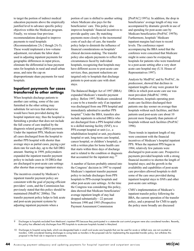to target the portion of indirect medical education payments above the empirically justified level to advance specific policy objectives within the Medicare program. Finally, we reissue four previous recommendations designed to improve payments to rural hospitals (Recommendations 2A-2 though 2A-5). These would implement a low-volume adjustment, reevaluate the labor share used in adjusting inpatient payments for geographic differences in input prices, eliminate the differential in base payment rates for hospitals in rural and small urban areas, and raise the cap on disproportionate share payments for rural hospitals.

#### **Inpatient payments for cases transferred to other settings**

When hospitals discharge patients to another care setting, some of the care furnished in the other setting may substitute for services that otherwise would have been provided during the hospital inpatient stay; thus the hospital is furnishing a product that does not include the full course of care implied by the diagnosis related group (DRG) payment. Under the inpatient PPS, Medicare treats all cases discharged from the hospital to another PPS hospital with shorter than average stays as partial cases, paying a per diem rate for each day, up to the full DRG amount. Starting in 1999, policymakers expanded the inpatient transfer payment policy to include cases in 10 DRGs that are discharged to post-acute care settings after shorter than average inpatient stays.

The incentives created by Medicare's inpatient transfer payment policy are consistent with the goal of paying efficient providers' costs, and the Commission has previously stated that this policy should be maintained (MedPAC 2000a). The transfer payment policy helps to link acute and post-acute payment systems by adjusting inpatient payments when a

portion of care is shifted to another setting where Medicare also pays for the beneficiaries' care. This policy also improves hospitals' financial incentives to provide quality care. By matching payments more closely to the incremental costs of each day of care, the transfer policy helps to diminish the influence of financial considerations on hospitals' clinical decision-making. The transfer policy also adjusts payments to reflect the circumstances faced by individual hospitals, recognizing that hospitals may have different access to post-acute care services; thus, payment reductions are targeted only to hospitals that discharge patients to post-acute care with short stays.

The Balanced Budget Act of 1997 (BBA) expanded Medicare's transfer payment policy. Before 1997, Medicare considered a case to be a transfer only if an inpatient was discharged from one PPS hospital and immediately admitted to another PPS hospital.<sup>9</sup> Under the BBA, transfers also include inpatients in selected DRGs who are discharged from a PPS hospital either to a skilled nursing facility (SNF), to a PPS-exempt hospital or unit (i.e., a rehabilitation hospital or unit, psychiatric hospital or unit, long-term care hospital, cancer hospital, or children's hospital), or with a written plan for home health care that starts within three days of discharge and is related to the condition or diagnosis that accounted for the inpatient stay.<sup>10</sup>

A number of factors probably entered into the Congress' decision in 1997 to expand Medicare's inpatient transfer payment policy to include discharges from PPS hospitals to PPS-exempt hospitals and other post-acute care settings. At the time the Congress was considering this policy, data showed that Medicare beneficiaries' average inpatient length of stay had dropped substantially—22 percent between 1990 and 1995 (Prospective Payment Assessment Commission

[ProPAC] 1997a). In addition, the drop in beneficiaries' average length of stay was accompanied by dramatic growth in use of and spending for post-acute care by Medicare beneficiaries (ProPAC 1997b). Furthermore, hospitals' Medicare inpatient margins had risen to record levels. The conference report accompanying the BBA noted that the conferees were concerned that Medicare might in some cases be overpaying hospitals for patients who were transferred to a post-acute setting after a very short acute care hospital stay (U.S. House of Representatives 1997).

Analysis by MedPAC and by ProPAC, its predecessor, showed that declines in inpatient lengths of stay were greatest for DRGs in which post-acute care use was most prevalent (MedPAC 1998). Furthermore, hospitals operating postacute care facilities discharged their patients one day sooner on average than hospitals without such facilities, and their patients used post-acute care about 10 percent more frequently than patients of hospitals without such facilities (ProPAC 1996).

These trends in inpatient length of stay were consistent with the financial incentives of Medicare's hospital inpatient PPS. When the inpatient PPS began in 1984, relatively few patients were discharged to post-acute care. Prospective payments provided hospitals with a strong financial incentive to shorten the length of hospital stays; and the growth in the availability and capabilities of post-acute care providers allowed hospitals to shift some of the care once provided during inpatient hospital stays to SNFs and other post-acute care settings.

CMS's implementation of Medicare's inpatient transfer policy following the BBA, the current operation of the transfer policy, and a proposal for CMS to apply the policy more broadly are discussed

9 Discharges to hospitals excluded from Medicare's inpatient PPS because they participated in a statewide cost control program were also considered transfers. Recently, this policy has affected only discharges from PPS hospitals to acute-care hospitals located in Maryland.

10 Discharges to hospital swing beds, which are designated beds in small rural acute care hospitals that can be used for acute or skilled care, are not counted as transfers. CMS considered treating discharges to swing beds as transfers in the proposed rule for implementing the expanded transfer policy, but withdrew this proposal in the final rule in response to comments.

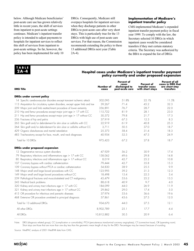below. Although Medicare beneficiaries' post-acute care use has grown relatively little in recent years, the shift of services from inpatient to post-acute settings continues. Medicare's inpatient transfer policy is intended to adjust payments to hospitals for inpatient services to reflect this shift of services from inpatient to post-acute settings. So far, however, the policy has been implemented for only 10

DRGs. Consequently, Medicare still overpays hospitals for inpatient services when they discharge patients in other DRGs to post-acute care after very short stays. This is particularly true for the 13 DRGs with high use of post-acute care services. For that reason, the Commission recommends extending the policy to these 13 additional DRGs next year (Table  $2A-4$ ).

#### **Implementation of Medicare's inpatient transfer policy**

CMS implemented Medicare's expanded inpatient transfer payment policy in fiscal year 1999. To comply with the law, the Secretary selected 10 DRGs in which inpatient cases would be considered transfers if they met certain statutory criteria. The Secretary was authorized by the BBA to expand the list of DRGs



#### **Hospital cases under Medicare's inpatient transfer payment policy currently and under proposed expansion**

| <b>DRG Title</b>                                                           | Number of<br>cases | <b>Percent of</b><br>cases<br>discharged to<br>post-acute care | Percent of<br>transfer cases<br>with short stays | Percent of all<br>cases in DRG that<br>are short-stay<br>transfers |
|----------------------------------------------------------------------------|--------------------|----------------------------------------------------------------|--------------------------------------------------|--------------------------------------------------------------------|
| <b>DRGs under current policy</b>                                           |                    |                                                                |                                                  |                                                                    |
| 14 Specific cerebrovascular disorders except transient ischemic attack     | 302,095            | 51.8%                                                          | 22.1%                                            | 11.5%                                                              |
| 113 Amputation for circulatory system disorders, except upper limb and toe | 39,267             | 71.4                                                           | 45.2                                             | 32.3                                                               |
| 209 Major joint and limb reattachment procedure of lower extremity         | 356,891            | 76.7                                                           | 28.7                                             | 22.0                                                               |
| 210 Hip and femur procedures except major joint age > 17 with CC           | 115,722            | 81.9                                                           | 28.1                                             | 23.0                                                               |
| Hip and femur procedures except major joint age > 17 without CC<br>211     | 30,572             | 79.8                                                           | 21.7                                             | 17.3                                                               |
| 236 Fractures of hip and pelvis                                            | 37,919             | 67.3                                                           | 12.3                                             | 8.3                                                                |
| 263 Skin graft and/or debridement for skin ulcer or cellulitis with CC     | 22,919             | 61.9                                                           | 40.8                                             | 25.3                                                               |
| 264 Skin graft and/or debridement for skin ulcer or cellulitis without CC  | 3,711              | 50.5                                                           | 37.0                                             | 18.7                                                               |
| 429 Organic disturbances and mental retardation                            | 25,373             | 58.4                                                           | 31.4                                             | 18.3                                                               |
| 483 Tracheostomy except for face, mouth, and neck diagnoses                | 40,954             | 52.5                                                           | 47.5                                             | 24.9                                                               |
| Total for 10 DRGs                                                          | 975,423            | 67.2                                                           | 27.8                                             | 18.7                                                               |
| DRGs under proposed expansion                                              |                    |                                                                |                                                  |                                                                    |
| 12 Degenerative nervous system disorders                                   | 47,929             | 56.2                                                           | 30.9                                             | 17.4                                                               |
| 79 Respiratory infections and inflammations age > 17 with CC               | 158,062            | 49.6                                                           | 29.8                                             | 14.8                                                               |
| 80 Respiratory infections and inflammations age > 17 without CC            | 8,019              | 42.7                                                           | 25.2                                             | 10.8                                                               |
| 107 Coronary bypass with cardiac catheterization                           | 79,444             | 42.7                                                           | 35.8                                             | 15.3                                                               |
| 109 Coronary bypass without PTCA or cardiac catheterization                | 54,830             | 38.9                                                           | 25.5                                             | 9.9                                                                |
| 148 Major small and large bowel procedures with CC                         | 123,995            | 39.2                                                           | 31.3                                             | 12.3                                                               |
| 149 Major small and large bowel procedures without CC                      | 18,498             | 15.4                                                           | 22.3                                             | 3.4                                                                |
| 239 Pathological fractures and musculoskeletal and CT malignancy           | 45,479             | 53.6                                                           | 25.2                                             | 13.5                                                               |
| 243 Medical back problems                                                  | 88,618             | 40.9                                                           | 9.7                                              | 4.0                                                                |
| 320 Kidney and urinary tract infections age > 17 with CC                   | 184,099            | 44.0                                                           | 26.9                                             | 11.9                                                               |
| Kidney and urinary tract infections age > 17 without CC<br>321             | 29,862             | 29.0                                                           | 17.4                                             | 5.0                                                                |
| 415 OR procedure for infectious and parasitic diseases                     | 37,974             | 53.6                                                           | 36.6                                             | 19.6                                                               |
| 468 Extensive OR procedure unrelated to principal diagnosis                | 57,861             | 43.6                                                           | 27.5                                             | 12.0                                                               |
| Total for 13 additional DRGs                                               | 934.670            | 44.0                                                           | 27.5                                             | 12.1                                                               |
| All other DRGs                                                             | 8,902,789          | 25.1                                                           | 17.7                                             | 4.4                                                                |
| All DRGs                                                                   | 10,812,882         | 30.5                                                           | 20.9                                             | 6.4                                                                |

Note: DRG (diagnosis related group), CC (complication or comorbidity), PTCA (percutaneous transluminal coronary angioplasty), CT (connective tissue), OR (operating room). Short stays are those that are more than one day less than the geometric mean length of stay for the DRG. Percentages may be inexact because of rounding.

Source: MedPAC analysis of 2001 MedPAR data from CMS.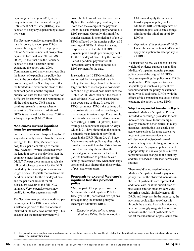beginning in fiscal year 2001, but, in conjunction with the Balanced Budget Refinement Act of 1999 (BBRA), she decided to delay any expansion by at least two years.

The Secretary considered expanding the transfer policy to encompass DRGs beyond the original 10 in the proposed rule on Medicare's inpatient prospective payments for fiscal year 2003 (CMS 2002b). In the final rule the Secretary decided to defer a decision about expanding the policy until 2004. Commenters raised many issues regarding the impact of expanding the policy that need to be considered carefully before proceeding, and the Secretary stated that the limited time between the close of the comment period and the required publication date for the final rule was not sufficient for analyzing and responding to all the points raised. CMS plans to continue research to assess whether expansion of the policy to additional DRGs is warranted for fiscal year 2004 or subsequent years (CMS 2002a).

#### **Medicare's current inpatient transfer payment policy**

For transfer cases with hospital lengths of stay substantially shorter than the national average for the DRG, Medicare pays hospitals a per diem rate up to the full DRG payment—which is reached when the length of stay is one day less than the geometric mean length of stay for the DRG.<sup>11</sup> The per diem amount equals the full per discharge payment for the DRG divided by its national geometric mean length of stay. Hospitals receive twice the per diem amount for the first day of care and the per diem amount for all subsequent days up to the full DRG payment. Very expensive cases may qualify for outlier payments as well.

The Secretary may provide a modified per diem payment for DRGs in which a substantial portion of the cost of care is incurred in the early days of the stay. This ensures that the transfer payment will

cover the full cost of care for these cases. By law, the modified payment may be no more than the average of the payment under the basic transfer policy and the full DRG payment. Currently, this modified transfer payment is provided in 3 of the 10 DRGs affected by the transfer policy; all 3 are surgical DRGs. In these instances, hospitals receive half the full DRG payment plus a single per diem payment for the first day of care. They then receive half of a per diem payment for all subsequent days of care up to the full DRG payment for the case.

In selecting the 10 DRGs originally authorized for the expanded transfer policy, the Secretary chose DRGs with a large number of discharges to post-acute care and a high rate of post-acute care use (Table 2A-4). More than half the cases in each of these DRGs were discharged to post-acute care settings. In these 10 DRGs, as in most DRGs, the patients who use post-acute care tend to have longer than average inpatient stays. For example, patients who are transferred to post-acute care settings in DRG 14 (strokes) have average acute inpatient stays of 6.8 days, which is 2.1 days higher than the national geometric mean length of stay for all cases in this DRG (Figure 2A-6). Since Medicare's transfer policy applies only to transfer cases with lengths of stay that are more than one day shorter than the national geometric mean for the DRG, patients transferred to post-acute care settings are affected only when their stays are several days shorter than those typical of post-acute care users.

#### **Proposals to expand Medicare's inpatient transfer payment policy**

CMS, as part of the proposed rule for Medicare's hospital inpatient PPS for fiscal year 2003, considered two options for expanding the transfer policy to encompass additional DRGs:

• *Expansion of the policy to some additional DRGs.* Under one option

CMS would apply the inpatient transfer payment policy to 13 additional DRGs with high rates of transfers to post-acute care settings (similar to the initial group of 10 DRGs).

• *Expansion of the policy to all DRGs.* Under the second option, CMS would apply the inpatient transfer policy to all DRGs.

As discussed below, we believe that the weight of evidence supports expanding Medicare's inpatient transfer payment policy beyond the original 10 DRGs. Because expanding the policy to all DRGs might reduce PPS payments to some hospitals by as much as 4 percent, we recommend that the policy be extended initially to 13 additional DRGs, with the effects of this expansion evaluated before extending the policy to more DRGs.

**Why the expanded transfer policy is needed** Medicare's inpatient PPS is intended to encourage providers to seek more efficient ways to furnish highquality care to its beneficiaries. In many instances, substituting less costly postacute care services for more expensive inpatient care may provide a more efficient overall episode of care of comparable quality. As long as this is true and Medicare's payment policies adapt appropriately, it is in everyone's interest to promote such changes in the quantity and mix of services furnished across care settings.

There would be no need to broaden Medicare's inpatient transfer payment policy if all of the observed increases in the use of post-acute care represented additional care, or if the substitution of post-acute care for inpatient care were occurring roughly similarly across all DRGs and hospitals. In the latter case, the payments could adjust to reflect this through the update. Available evidence, however, strongly suggests that observed increases in the use of post-acute care reflect the substitution of post-acute care



<sup>11</sup> The geometric mean length of stay provides a more representative measure of the usual length of stay than the arithmetic average when the distribution includes many cases with extremely long stays.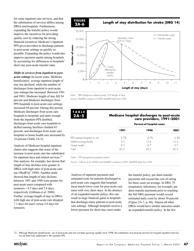for some inpatient care services, and that the substitution of services differs among DRGs and hospitals. Furthermore, expanding the transfer policy would improve the incentives for providing quality care by reducing the strong financial incentives Medicare's inpatient PPS gives providers to discharge patients to post-acute settings as quickly as possible. Expanding the policy would also improve payment equity among hospitals by accounting for differences in hospitals' short stay post-acute transfer rates.

*Shifts in services from inpatient to postacute settings* In recent years, Medicare beneficiaries' average inpatient length of stay has declined, while the number of discharges from inpatient to post-acute care settings has increased. Between 1991 and 2001, Medicare length of stay fell 34 percent and Medicare discharges from PPS hospitals to post-acute care settings increased 49 percent. During this period, Medicare discharges from acute care hospitals to hospitals and units exempt from the inpatient PPS doubled; discharges from acute care hospitals to skilled nursing facilities climbed 65 percent; and discharges from acute care hospitals to home health care increased by 14 percent (Table 2A-5).

Analysis of Medicare hospital inpatient claims also suggests that some of the increase in post-acute care has substituted for inpatient days and related services.<sup>12</sup> One analysis, for example, has shown that length of stay declines were greater in DRGs with high rates of post-acute care use (MedPAC 1998). Another study showed that length-of-stay declines between 1991 and 1998 were greater for post-acute users compared with nonusers—4.5 days and 2.4 days, respectively (Gillman et al. 2000). Further, average length of stay in DRGs with high use of post-acute care dropped 7.1 days for users versus 5.6 days for nonusers.





Note: DRG (diagnosis related group), LOS (length of stay). Source: MedPAC analysis of 2000 MedPAR data from CMS.

**2A-6**

30,000

| TABLE                       | Medicare hospital discharges to post-acute<br>care providers, 1991–2001 |                           |     |
|-----------------------------|-------------------------------------------------------------------------|---------------------------|-----|
|                             |                                                                         | Percent of hospital cases |     |
|                             | 1991                                                                    | 1998                      | וממ |
| PPS exempt hospital or unit | 27%                                                                     | A 7%                      | 55% |
| Skilled nursing facility    |                                                                         | 5 R                       |     |

Home health 8.5 9.7 9.7 Total 20.5 30.2 30.5

Note: PPS (prospective payment system).

Source: Gillman et al. (2000) and MedPAC analysis of 2001 MedPAR data from CMS.

Analysis of inpatient payments and estimated costs for patients discharged to post-acute care suggests that hospitals incur much lower costs for post-acute care users with very short stays. In the absence of an expanded transfer policy, this can result in large financial gains to hospitals that discharge many patients to post-acute care settings. Although hospitals receive a lower payment for short-stay cases under

the transfer policy, per diem transfer payments still exceed the cost of caring for these cases on average. In DRG 79 (respiratory infections), for example, per diem transfer payments prior to reaching the full DRG payment would exceed estimated daily costs by about 50 percent (Figure 2A-7, p. 48). Almost all other DRGs would have similar outcomes under an expanded transfer policy. In the few

12 Although Medicare beneficiaries' use of post-acute care has not been growing rapidly since 1998, the substitution of post-acute services for hospital inpatient care has not yet been fully addressed in the inpatient PPS.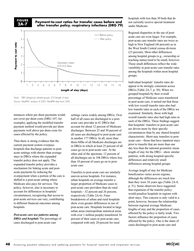#### **FIGURE 2A-7**

#### **Payment-to-cost ratios for transfer cases before and after transfer policy, respiratory infections (DRG 79)**



Source: MedPAC analysis of 2001 MedPAR data from CMS.

instances where per diem payments would not cover per diem costs (DRG 107, for example), applying the modified transfer payment method would provide per diem payments well above per diem costs for cases affected by the policy.

Thus there is strong evidence that the current payment system overpays hospitals that discharge patients to postacute settings with shorter than average stays in DRGs where the expanded transfer policy does not apply. The expanded transfer policy provides a mechanism for linking acute and postacute payments by reducing the overpayment when a portion of the care is shifted to a post-acute setting where Medicare also pays for services. The policy, however, also is necessary to account for differences in hospitals' circumstances, recognizing that access to post-acute services can vary, contributing to different financial outcomes among hospitals.

*Post-acute care use patterns among DRGs and hospitals* The percentage of cases discharged to post-acute care

settings varies widely among DRGs. Over half of all cases are discharged to a postacute care provider in 41 DRGs that account for about 12 percent of Medicare discharges. Between 25 and 50 percent of all cases are discharged to post-acute care in another 177 DRGs. In all, more than three-fifths of all Medicare discharges are in DRGs in which at least 25 percent of all cases go on to post-acute care. At the other end of the spectrum, 12 percent of all discharges are in 108 DRGs where less than 10 percent of cases go on to postacute care.

Transfers to post-acute care are similarly uneven across hospitals. For instance, urban hospitals on average transfer a larger proportion of Medicare cases to post-acute care providers than do rural hospitals—32 percent and 26 percent, respectively (Table 2A-6). Finer breakdowns of urban and rural hospitals show even greater differences in use of post-acute care. Hospitals located in large urban areas (metropolitan statistical areas with over 1 million people) transferred 34 percent of their cases to post-acute care, compared with only 20 percent for rural

hospitals with less than 50 beds that do not currently receive special treatment under Medicare.

Regional disparities in the use of postacute care are even larger. For example, post-acute care transfer rates are twice as high in New England (46 percent) as in the West South Central census division (23 percent). Most other differences among hospital groups (e.g., ownership or teaching status) tend to be small, however. These small differences reflect the wide variability in post-acute care transfer rates among the hospitals within most hospital groups.

Individual hospitals' transfer rates do appear to be strongly consistent across DRGs (Table 2A-7, p. 50). When we grouped hospitals by their overall percentage of Medicare cases transferred to post-acute care, it turned out that those with low overall transfer rates also had low transfer rates in each of the DRGs we examined. Similarly, those with high overall transfer rates also had high rates in each of the DRGs. These findings suggest that hospitals' transfers to post-acute care are driven more by their specific circumstances than by any shared hospital characteristic. Short-stay transfers to postacute care—those that have inpatient stays prior to transfer that are more than one day less than the national geometric mean length of stay for the DRG—show similar patterns, with strong hospital-specific differences and relatively small differences among hospital groups.

Average length of stay for Medicare beneficiaries varies across regions, although the differences are much less than they were 10 years ago (Table 2A-8, p. 51). Some observers have suggested that expansion of the transfer policy would penalize hospitals in regions with short stays. This concern is only valid to a point, however, because the relationship between regional average Medicare lengths of stay and the proportion of cases affected by the policy is fairly weak. Two factors influence the proportion of cases affected by the policy. One is the share of cases discharged to post-acute care and

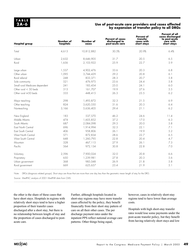#### **Use of post-acute care providers and cases affected by expansion of transfer policy to all DRGs**

| <b>Hospital group</b>          | Number of<br>hospitals | Number of<br>cases | <b>Percent of cases</b><br>discharged to<br>post-acute care | <b>Percent of</b><br>transfer<br>cases with<br>short stays | Percent of all<br>cases discharged<br>to post-acute<br>care with<br>short stays |
|--------------------------------|------------------------|--------------------|-------------------------------------------------------------|------------------------------------------------------------|---------------------------------------------------------------------------------|
| Total                          | 4,613                  | 10,812,882         | 30.5%                                                       | 20.9%                                                      | 6.4%                                                                            |
| Urban                          | 2,632                  | 8,646,905          | 31.7                                                        | 20.5                                                       | 6.5                                                                             |
| Rural                          | 1,656                  | 2,103,922          | 25.9                                                        | 22.7                                                       | 5.9                                                                             |
| Large urban                    | 1,537                  | 4,902,476          | 33.6                                                        | 20.3                                                       | 6.8                                                                             |
| Other urban                    | 1,095                  | 3,744,429          | 29.2                                                        | 20.8                                                       | 6.1                                                                             |
| Rural referral                 | 248                    | 833,371            | 28.3                                                        | 20.7                                                       | 5.8                                                                             |
| Sole community                 | 521                    | 476,975            | 23.6                                                        | 24.4                                                       | 5.8                                                                             |
| Small rural Medicare dependent | 241                    | 183,454            | 25.0                                                        | 24.1                                                       | 6.0                                                                             |
| Other rural $<$ 50 beds        | 313                    | 161,707            | 19.9                                                        | 27.6                                                       | 5.5                                                                             |
| Other rural $\geq$ 50 beds     | 333                    | 448,415            | 26.3                                                        | 23.5                                                       | 6.2                                                                             |
| Major teaching                 | 298                    | 1,493,872          | 32.3                                                        | 21.5                                                       | 6.9                                                                             |
| Other teaching                 | 824                    | 3,620,550          | 31.6                                                        | 20.3                                                       | 6.4                                                                             |
| Nonteaching                    | 3,166                  | 5,636,405          | 29.4                                                        | 21.1                                                       | 6.2                                                                             |
| New England                    | 183                    | 537,570            | 46.2                                                        | 24.6                                                       | 11.4                                                                            |
| Middle Atlantic                | 474                    | 1,605,852          | 37.2                                                        | 17.0                                                       | 6.3                                                                             |
| South Atlantic                 | 687                    | 2,084,098          | 29.3                                                        | 20.0                                                       | 5.8                                                                             |
| East North Central             | 696                    | 1,914,994          | 32.3                                                        | 22.1                                                       | 7.1                                                                             |
| East South Central             | 406                    | 958,806            | 26.1                                                        | 19.9                                                       | 5.2                                                                             |
| West North Central             | 571                    | 872,834            | 28.6                                                        | 22.7                                                       | 6.5                                                                             |
| West South Central             | 648                    | 1,260,795          | 22.8                                                        | 20.4                                                       | 4.7                                                                             |
| Mountain                       | 328                    | 467,115            | 27.9                                                        | 26.1                                                       | 7.3                                                                             |
| Pacific                        | 564                    | 972,134            | 30.8                                                        | 22.8                                                       | 7.0                                                                             |
| Voluntary                      | 2,596                  | 7,900,024          | 32.0                                                        | 20.8                                                       | 6.6                                                                             |
| Proprietary                    | 650                    | 1,239,981          | 27.8                                                        | 20.3                                                       | 5.6                                                                             |
| Urban government               | 368                    | 985,048            | 26.9                                                        | 21.8                                                       | 5.8                                                                             |
| Rural government               | 669                    | 625,657            | 23.4                                                        | 21.9                                                       | 5.1                                                                             |

Note: DRGs (diagnosis related groups). Short stays are those that are more than one day less than the geometric mean length of stay for the DRG.

Source: MedPAC analysis of 2001 MedPAR data from CMS.

the other is the share of these cases that have short stays. Hospitals in regions with relatively short stays tend to have a higher proportion of their transfer cases discharged after a short stay, but there is no relationship between length of stay and the proportion of cases discharged to postacute care.

Further, although hospitals located in short-stay regions may have more transfer cases affected by the policy, they benefit financially from their short stay pattern of care on all their other cases. The per discharge payment rates under the inpatient PPS reflect national average care patterns. Other things being equal,

however, cases in relatively short-stay regions tend to have lower than average costs.

Hospitals with high short-stay transfer rates would lose some payments under the post-acute transfer policy, but they benefit from having relatively short stays and low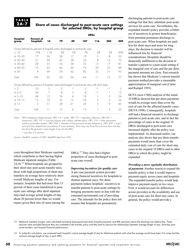#### **Share of cases discharged to post-acute care settings for selected DRGs, by hospital group**

|                   | <b>DRGs</b>                                                                               |     |    |    |     |         |      |     |
|-------------------|-------------------------------------------------------------------------------------------|-----|----|----|-----|---------|------|-----|
| Hospital<br>group | <b>Percent of</b><br>hospitals                                                            | 14  | 79 | 89 | 107 | 116     | 204  | 209 |
|                   | Group defined by percent of hospital cases discharged to post-acute care                  |     |    |    |     |         |      |     |
| < 10              | 10%                                                                                       | 11% | 6% | 5% | 7%  | 2%      | 2%   | 20% |
| $\geq 10 - 20$    | 17                                                                                        | 36  | 28 | 17 | 19  | .5      | 8    | 52  |
| $\geq 20 - 30$    | 31                                                                                        | 49  | 43 | 28 | 32  | 8       | 12   | 73  |
| $\geq 30 - 40$    | 28                                                                                        | 57  | 55 | 38 | 52  | 12      | 17   | 81  |
| $\geq 40 - 50$    | 10                                                                                        | 63  | 66 | 50 | 72  | 20      | 23   | 88  |
| $\geq 50$         | $\overline{\mathcal{A}}$                                                                  | 69  | 74 | 62 | 82  | 32      | 31   | 93  |
| Total             | 100                                                                                       | 52  | 50 | 34 | 43  | 11      | 15   | 77  |
|                   | Group defined by percent of hospital cases discharged to post-acute care with short stays |     |    |    |     |         |      |     |
| $\lt$ 2           | 10                                                                                        | 2   | 2  |    | 2   | $\star$ | $-*$ | 3   |
| $\geq 2 - 5$      | 30                                                                                        | 7   | 8  | 3  | 8   | _*      |      | l 3 |
| $\geq 5 - 10$     | 44                                                                                        | 13  | 16 | 6  | 18  |         | 3    | 24  |
| $\geq 10 - 15$    | 13                                                                                        | 19  | 25 | 12 | 32  | 2       | 3    | 34  |
| $\geq$ 1.5        | 3                                                                                         | 31  | 38 | 21 | 45  | 3       | 9    | 45  |

Note: DRGs (diagnosis related groups), DRG 14 = stroke, DRG 79 = respiratory infections, DRG 89 = pneumonia, DRG 107 = coronary bypass with cardiac catheterization, DRG 116 = other permanent cardiac pacemaker implant, DRG  $204 =$  disorders of the pancreas except malignancy, DRG  $209 =$  major joint and limb reattachment procedures of lower extremity. Short stays are those that are more than one day less than the geometric mean length of stay for the DRG.

Total 100 11 15 6 15 1 2 22

\* Less than 0.5 percent

Source: MedPAC analysis of 2001 MedPAR data from CMS.

costs throughout their Medicare caseload, which contributes to their having higher Medicare inpatient margins (Table  $2A-9$ <sup>13</sup> When hospitals are grouped by their short-stay post-acute transfer rates, those with high proportions of short-stay transfers on average have relatively short overall Medicare lengths of stay. For instance, hospitals that had more than 15 percent of their cases transferred to postacute care settings after short inpatient stays had average actual lengths of stay about 20 percent lower than we would expect given their mix of cases among the DRGs.14 They also had a higher proportion of cases discharged to postacute care overall.

#### *Improving incentives for quality care*

A per case payment system provides strong financial incentives for hospitals to shorten inpatient stays. Per diem payments reduce hospitals' incentives to transfer patients to post-acute settings by bringing payments more in line with the estimated incremental cost of providing care. The rationale for the policy does not assume that hospitals are prematurely

discharging patients to post-acute care settings but that they substitute post-acute services for acute care. Nevertheless, the expanded transfer policy provides a better set of incentives to protect beneficiaries from potential premature discharge to post-acute care. When hospitals are paid less for short stays and more for long stays, the decision to transfer will be influenced less by financial considerations. Hospitals should be financially indifferent to the decision to transfer a patient to a post-acute setting if the marginal cost of care and the per diem payment amounts are close. Past research has shown that Medicare's current transfer payment method provides a reasonable approximation of marginal cost (Carter and Rumpel 1993).

HCFA (now CMS) analysis of the initial 10 DRGs showed that per diem payments would on average more than cover the cost of care for the affected transfer cases (HCFA 1998). Consequently, hospitals still had a financial incentive to discharge patients to post-acute care, and in fact the percentage of cases in the original 10 DRGs discharged to post-acute care increased slightly after the policy was implemented. As discussed earlier, our analysis also shows that per diem transfer payments would more than cover the estimated daily cost of care for short-stay cases in the original 10 DRGs and in other DRGs to which the policy might be expanded.

#### *Providing a more equitable distribution*

*of payments* Another reason to expand the transfer policy is that it would improve payment equity across cases and hospitals. The expanded transfer policy would help improve payment equity in two ways. First, it would account for differences across providers in the availability and use of post-acute care for short-stay cases. In general, the policy would provide a

<sup>13</sup> Medicare inpatient margins were calculated excluding disproportionate share hospital payments and IME payments above the teaching cost relationship. These amounts were excluded because they are unrelated to the transfer policy and they tend to obscure the relationships between average length of stay, short-stay postacute transfers, and hospital financial performance.

<sup>14</sup> To make this calculation, we compared each hospital's actual average length of stay for Medicare patients with what the average would have been if its cases had the national average length of stay in each DRG.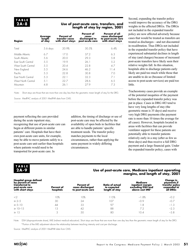#### **Use of post-acute care, transfers, and length of stay by region, 2001**

| Region                    | Average<br>length<br>of stav | Percent of<br>transfer cases<br>with short stays | Percent of<br>cases<br>discharged to<br>post-acute care | Percent of all<br>cases discharged<br>to post-acute care<br>with short stays |
|---------------------------|------------------------------|--------------------------------------------------|---------------------------------------------------------|------------------------------------------------------------------------------|
| Total                     | $5.6$ days                   | 20.9%                                            | 30.5%                                                   | 6.4%                                                                         |
| Middle Atlantic           | 67                           | 17.0                                             | 37.2                                                    | 6.3                                                                          |
| South Atlantic            | 5.6                          | 20.0                                             | 29.3                                                    | 5.8                                                                          |
| <b>Fast South Central</b> | 5.5                          | 19.9                                             | 26.1                                                    | 5.2                                                                          |
| West South Central        | 5.5                          | 20.4                                             | 22.8                                                    | 4.7                                                                          |
| New England               | 5.5                          | 24.6                                             | 46.2                                                    | 11.4                                                                         |
| Pacific                   | 5.3                          | 22.8                                             | 30.8                                                    | 7.0                                                                          |
| <b>Fast North Central</b> | 5.3                          | 22 1                                             | 32.3                                                    | 7.1                                                                          |
| West North Central        | 5.1                          | 22.7                                             | 28.6                                                    | 6.5                                                                          |
| Mountain                  | 4.8                          | 26.1                                             | 27.9                                                    | 7.3                                                                          |

Note: Short stays are those that are more than one day less than the geometric mean length of stay for the DRG.

Source: MedPAC analysis of 2001 MedPAR data from CMS.

payment reflecting the care provided during the acute inpatient stay, recognizing that use of post-acute care can begin at different points in similar patients' care. Hospitals that have their own post-acute care units, for example, may be able to move patients safely to a post-acute care unit earlier than hospitals where patients would need to be transported for post-acute care. In

addition, the timing of discharge or use of post-acute care may be affected by the availability of open beds in facilities that are able to handle patients' specific treatment needs. The transfer policy matches payments to the local circumstances, rather than applying the same payment in widely differing circumstances.

Second, expanding the transfer policy would improve the accuracy of the DRG weights in the affected DRGs. The DRGs not included in the expanded transfer policy are now affected adversely because cases that would be treated as transfers are treated as discharges—and not discounted in recalibration. Thus DRGs not included in the expanded transfer policy that have experienced substantial declines in length of stay (and charges) because of increased post-acute transfers have likely seen their relative weights fall. In this situation, hospitals able to discharge patients early likely are paid too much while those that are unable to do so (because of limited access to post-acute services) are paid too little.

Tracheostomy cases provide an example of the potential inequities of the payment before the expanded transfer policy was put in place. Cases in DRG 483 tend to have very long lengths of stay (the geometric mean is 35 days) and receive very high DRG payments (the payment rate is more than 10 times the average for all cases). However, hospitals located in areas with facilities that can provide ventilator support for these patients are potentially able to transfer patients relatively early in a stay (after as few as three days) and thus receive a full DRG payment and a large financial gain. Under the expanded transfer policy, cases with

# **TABLE 2A-9**

# **Use of post-acute care, Medicare inpatient operating margins, and length of stay, 2001**

| Hospital group defined<br>by percent of cases<br>transferred to<br>post-acute care<br>with short stays | Percent of<br>hospitals | Percent of<br>cases discharged<br>to post-acute care | Ratio of actual<br>to expected<br>lenath of stay | Medicare<br>inpatient margin<br>excluding DSH and<br>above cost IME* | Change in<br>payments if<br>transfer policy<br>expanded to<br>all DRGs |
|--------------------------------------------------------------------------------------------------------|-------------------------|------------------------------------------------------|--------------------------------------------------|----------------------------------------------------------------------|------------------------------------------------------------------------|
| $<$ 2                                                                                                  | l O%                    | 10%                                                  | 115%                                             | $-1.8%$                                                              |                                                                        |
| $\geq 2 - 5$                                                                                           | 30                      | 24                                                   | 07ء                                              |                                                                      |                                                                        |
| $\geq 5 - 10$                                                                                          | 44                      | 33                                                   |                                                  |                                                                      | $-1.3$                                                                 |
| $\geq 10 - 15$                                                                                         |                         | 42                                                   | 88                                               |                                                                      | $-2.3$                                                                 |
| $\geq$ 1.5                                                                                             |                         | .5C                                                  | 80                                               | I O 4                                                                | $-3.8$                                                                 |

Note: DSH (disproportionate share), IME (indirect medical education). Short stays are those that are more than one day less than the geometric mean length of stay for the DRG. \*Portion of the IME adjustment above the relationship between teaching intensity and cost per discharge.

Source: MedPAC analysis of 2001 MedPAR data from CMS.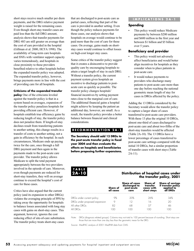short stays receive much smaller per diem payments, and the DRG relative payment weight is raised for the remaining cases. Even though short-stay transfer cases are paid less than the full DRG amount, analysis shows that transfer payments for DRG 483 are still greater on average than the cost of care provided in the hospital (Gillman et al. 2000, HCFA 1998). The availability of long-term care hospitals and SNFs with ventilator support capacity varies tremendously, and hospitals in close proximity to these providers benefited relative to other hospitals before the expanded transfer policy was adopted. The expanded transfer policy, however, brings payments more in line with the cost of providing care for all hospitals.

#### **Criticisms of the expanded transfer**

**policy** One of the criticisms leveled against the transfer policy is that in a system based on averages, expansion of the transfer policy penalizes hospitals for providing efficient care. However, if hospitals establish true efficiency gains by reducing length of stay, the transfer policy does not penalize them. If length-of-stay declines result from transferring patients to another setting, this change results in a transfer of costs to another setting, not a gain in efficiency by the hospital. In such circumstances, Medicare ends up paying twice for the care, once through a full DRG payment and then again in the payments made to the post-acute care provider. The transfer policy allows Medicare to split the total payment appropriately between the two providers involved in the episode of care. Moreover, even though payments are reduced for short-stay transfers, they will on average continue to exceed the hospital's cost of care for these cases.

Critics have also argued that the current policy (and its expansion to other DRGs) violates the averaging principle of PPS by taking away the opportunity for hospitals to balance losses associated with long stay cases with gains on short-stay cases. This argument, however, ignores the cost reducing effect of site-of-care substitution. The transfer policy treats short-stay cases

that are discharged to post-acute care as partial cases, reflecting that part of the care is provided in another setting. Even though the policy reduces payments for these cases, our analysis shows that hospitals on average would continue to be paid more than the cost of care for these cases. On average, gains made on shortstay cases would continue to offset losses on high-cost longer stay cases.

Some critics of the transfer policy suggest that it creates a disincentive to provide quality care by encouraging hospitals to attain a target length of stay in each DRG. Without a transfer policy, the current payment system gives hospitals an incentive to discharge patients to postacute care as quickly as possible. The transfer policy changes hospitals' financial incentives by setting payment rates close to the marginal cost of care. The additional financial gains a hospital might achieve by keeping the patient an additional day, however, are small. As a result, the transfer policy provides a better balance between financial and clinical considerations.

#### **RECOMMENDATION 2A-1**

**The Secretary should add 13 DRGs to the post-acute transfer policy in fiscal year 2004 and then evaluate the effects on hospitals and beneficiaries before proposing further expansions.** 

#### **IMPLICATIONS 2A-1**

#### **Spending**

This policy would reduce Medicare payments by between \$200 million and \$600 million in the first year and between \$1 billion and \$5 billion over 5 years.

#### **Beneficiary and provider**

- This policy would not adversely affect beneficiaries and would better align incentives for hospitals as they consider when to place patients in post-acute care.
- It would reduce payments to providers who discharge many patients to post-acute care more than one day before reaching the national geometric mean length of stay for cases in DRGs affected by the policy.

Adding the 13 DRGs considered by the Secretary would allow the transfer policy to capture a larger share of cases transferred to post-acute care providers. With these 13 plus the original 10 DRGs, almost one-third of cases discharged to post-acute care and about two-fifths of the short-stay transfers would be affected (Table 2A-10). The 13 DRGs have a lower percentage of cases transferred to post-acute care settings compared with the initial 10 DRGs, but a similar proportion of transfer cases with short stays (Table 2A-11).

# **TABLE 2A-10**

#### **Distribution of hospital cases under the transfer policy, 2001**

|                               | Share of<br>all cases | <b>Share of cases</b><br>discharged to<br>post-acute<br>care | Share of<br>transfer<br>cases with<br>short stays | <b>Share of savings</b><br>if transfer policy<br>)RGc |
|-------------------------------|-----------------------|--------------------------------------------------------------|---------------------------------------------------|-------------------------------------------------------|
| DRGs under current policy     |                       | 20%                                                          | 26%                                               | 34%                                                   |
| DRGs under proposed expansion |                       |                                                              |                                                   | 20                                                    |
| All other DRGs                |                       |                                                              |                                                   |                                                       |
| All DRGs                      |                       |                                                              |                                                   |                                                       |

Note: DRGs (diagnosis related groups). Columns may not total to 100 percent because of rounding. Short stays are those that are more than one day less than the geometric mean for the DRG.

Source: MedPAC analysis of 2001 MedPAR data from CMS.

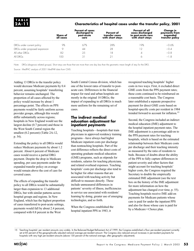#### **Characteristics of hospital cases under the transfer policy, 2001**

|                               | Share of<br>all cases | <b>Percent of cases</b><br>discharged to<br>post-acute<br>care | Percent of<br>transfer cases<br>with short stays | Percent of all<br>cases discharged<br>to post-acute care<br>with short stays | Change in<br>payments from<br>expanded<br>transfer policy |
|-------------------------------|-----------------------|----------------------------------------------------------------|--------------------------------------------------|------------------------------------------------------------------------------|-----------------------------------------------------------|
| DRGs under current policy     | 9%                    | 67%                                                            | 28%                                              | 9%                                                                           | $-0.6%$                                                   |
| DRGs under proposed expansion |                       | 44                                                             | 28                                               |                                                                              | $-0.4$                                                    |
| All other DRGs                |                       | 25                                                             | 8                                                |                                                                              | $-0.8$                                                    |
| All DRGs                      | $\Omega$              |                                                                |                                                  |                                                                              | $-1.8$                                                    |

Note: DRGs (diagnosis related groups). Short stays are those that are more than one day less than the geometric mean length of stay for the DRG.

Source: MedPAC analysis of 2001 MedPAR data from CMS.

Adding 13 DRGs to the transfer policy would decrease Medicare payments by 0.4 percent, assuming hospitals' transferring behavior remains unchanged. The proportion of all cases affected by the policy would increase by about 1 percentage point. The effects on PPS payments would be fairly uniform across provider groups, although this would differ substantially across regions; hospitals in New England would see the largest decline (0.7 percent) and those in the West South Central region the smallest (0.2 percent) (Table 2A-12, p. 54).

Extending the policy to all DRGs would reduce Medicare payments by about 1.2 percent. About 6 percent of Medicare cases would receive a partial DRG payment. Despite the drop in Medicare spending, per case payments under the expanded transfer policy on average would remain above the cost of care for covered cases.

The effects of expanding the transfer policy to all DRGs would be substantially larger than expansion to 13 additional DRGs, but with similar patterns across hospital groups and regions. In New England, which has the highest proportion of cases transferred to post-acute settings, payments would fall by about 2.4 percent, compared with 0.8 percent in the West

South Central Census division, which has one of the lowest rates of transfer to postacute care. Differences in the financial impact for rural and urban hospitals are mostly in the original 10 DRGs; the impact of expanding to all DRGs is much more uniform for the remaining set of cases.

#### **The indirect medical education adjustment for inpatient payments**

Teaching hospitals—hospitals that train physicians in approved residency training programs—have always had higher Medicare inpatient costs per discharge than nonteaching hospitals. Part of the cost difference reflects the direct costs of operating graduate medical education (GME) programs, such as stipends for residents, salaries for teaching physicians, and related overhead expenses. Teaching hospitals' costs per discharge also tend to be higher for other reasons that are associated with teaching activity but difficult to measure directly. These include unmeasured differences in patients' severity of illness, inefficiencies in service use associated with residents' learning by doing, greater use of emerging technologies, and so forth.

When the Congress established the hospital inpatient PPS in 1983, it

recognized teaching hospitals' higher costs in two ways. First, it excluded direct GME costs from the PPS payment rates; these costs continued to be reimbursed on a reasonable cost basis. The Congress later established a separate prospective payment for direct GME costs based on hospital-specific costs per resident in 1984 trended forward to account for inflation.<sup>15</sup>

Second, the Congress included an indirect medical education (IME) adjustment to the hospital inpatient payment rates. The IME adjustment is a percentage add-on to the PPS payment rates for teaching hospitals, which is based on the estimated relationship between their Medicare costs per discharge and their teaching intensity as measured by the ratio of residents to beds. Because of doubts about the ability of the PPS to fully capture differences in patient severity and other factors that might account for teaching hospitals' higher costs, the Congress required the Secretary to double the empirically estimated IME adjustment (see the text box on the history of the IME adjustment for more information on how the adjustment has changed over time, p. 55). Teaching hospitals receive IME add-on payments for Medicare patients whose care is paid for under the inpatient PPS and also for those whose care is paid for by a Medicare+Choice plan.

15 Teaching hospitals' per resident amounts vary widely. In the Balanced Budget Refinement Act of 1999, the Congress established a floor per-resident payment currently set at 85 percent of the geographically adjusted national average per-resident amount. The Congress also reduced annual increases in per-resident payments for hospitals with very high per-resident amounts (above 130 percent of the national average, after geographic adjustment).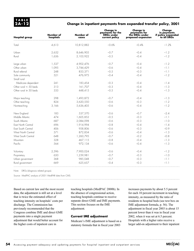#### **Change in inpatient payments from expanded transfer policy, 2001**

| <b>Hospital group</b>         | Number of<br>hospitals | Number of<br>cases | <b>Change in</b><br>payments for the<br><b>DRGs under</b><br>current policy | <b>Change in</b><br>payments for<br>the DRGs under<br>proposed expansion | Change<br>in payments<br>if policy expanded<br>to all DRGs |
|-------------------------------|------------------------|--------------------|-----------------------------------------------------------------------------|--------------------------------------------------------------------------|------------------------------------------------------------|
| Total                         | 4,613                  | 10,812,882         | $-0.6%$                                                                     | $-0.4%$                                                                  | $-1.2%$                                                    |
| Urban                         | 2,632                  | 8,646,905          | $-0.7$                                                                      | $-0.4$                                                                   | $-1.2$                                                     |
| Rural                         | 1,656                  | 2,103,922          | $-0.5$                                                                      | $-0.4$                                                                   | $-1.2$                                                     |
| Large urban                   | 1,537                  | 4,902,476          | $-0.7$                                                                      | $-0.4$                                                                   | $-1.2$                                                     |
| Other urban                   | 1,095                  | 3,744,429          | $-0.6$                                                                      | $-0.4$                                                                   | $-1.1$                                                     |
| Rural referral                | 248                    | 833,371            | $-0.5$                                                                      | $-0.3$                                                                   | $-1.1$                                                     |
| Sole community<br>Small rural | 521                    | 476,975            | $-0.4$                                                                      | $-0.4$                                                                   | $-1.2$                                                     |
| Medicare dependent            | 241                    | 183,454            | $-0.3$                                                                      | $-0.4$                                                                   | $-1.4$                                                     |
| Other rural $<$ 50 beds       | 313                    | 161,707            | $-0.3$                                                                      | $-0.4$                                                                   | $-1.3$                                                     |
| Other rural $\geq 50$ beds    | 333                    | 448,415            | $-0.5$                                                                      | $-0.4$                                                                   | $-1.3$                                                     |
| Major teaching                | 298                    | 1,493,872          | $-0.7$                                                                      | $-0.4$                                                                   | $-1.3$                                                     |
| Other teaching                | 824                    | 3,620,550          | $-0.6$                                                                      | $-0.3$                                                                   | $-1.2$                                                     |
| Nonteaching                   | 3,166                  | 5,636,405          | $-0.6$                                                                      | $-0.4$                                                                   | $-1.2$                                                     |
| New England                   | 183                    | 537,570            | $-0.6$                                                                      | $-0.7$                                                                   | $-2.4$                                                     |
| Middle Atlantic               | 474                    | 1,605,852          | $-0.5$                                                                      | $-0.3$                                                                   | $-1.1$                                                     |
| South Atlantic                | 687                    | 2,084,098          | $-0.6$                                                                      | $-0.3$                                                                   | $-1.0$                                                     |
| <b>Fast North Central</b>     | 696                    | 1,914,994          | $-0.8$                                                                      | $-0.4$                                                                   | $-1.4$                                                     |
| East South Central            | 406                    | 958,806            | $-0.6$                                                                      | $-0.3$                                                                   | $-0.9$                                                     |
| West North Central            | 571                    | 872,834            | $-0.6$                                                                      | $-0.4$                                                                   | $-1.3$                                                     |
| West South Central            | 648                    | 1,260,795          | $-0.7$                                                                      | $-0.2$                                                                   | $-0.8$                                                     |
| Mountain                      | 328                    | 467,115            | $-0.8$                                                                      | $-0.4$                                                                   | $-1.3$                                                     |
| Pacific                       | 564                    | 972,134            | $-0.6$                                                                      | $-0.4$                                                                   | $-1.3$                                                     |
| Voluntary                     | 2,596                  | 7,900,024          | $-0.6$                                                                      | $-0.4$                                                                   | $-1.2$                                                     |
| Proprietary                   | 650                    | 1,239,981          | $-0.7$                                                                      | $-0.3$                                                                   | $-1.0$                                                     |
| Urban government              | 368                    | 985,048            | $-0.7$                                                                      | $-0.3$                                                                   | $-1.1$                                                     |
| Rural government              | 669                    | 625,657            | $-0.4$                                                                      | $-0.3$                                                                   | $-1.1$                                                     |

Note: DRGs (diagnosis related groups).

Source: MedPAC analysis of 2001 MedPAR data from CMS.

Based on current law and the most recent data, the adjustment is still set at a level that is twice the estimated effect of teaching intensity on hospitals' costs per discharge. The Commission has previously recommended that the Congress combine IME and direct GME payments into a single payment adjustment that would better account for the higher costs of inpatient care in

teaching hospitals (MedPAC 2000b). In the absence of congressional action, teaching hospitals continue to receive separate direct GME and IME payments. This section focuses on the IME adjustment.

#### **Current IME adjustment**

Medicare's IME adjustment is based on a statutory formula that in fiscal year 2003

increases payments by about 5.5 percent for each 10 percent increment in teaching intensity, as measured by the ratio of residents to hospital beds (see text box on IME adjustment formula, p. 56). The adjustment in fiscal year 2003 is about 15 percent lower than it was in fiscal year 2002, when it was set at 6.5 percent. Hospitals with a higher ratio receive a larger add-on adjustment to their inpatient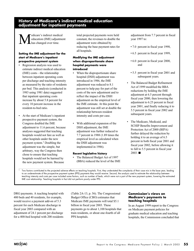# **History of Medicare's indirect medical education adjustment for inpatient payments**

edicare's indirect medical education (IME) adjustment has changed over time.

#### **Setting the IME adjustment for the start of Medicare's inpatient prospective payment system**

- Regression analysis was used to estimate indirect medical education (IME) costs—the relationship between inpatient operating costs per discharge and teaching intensity as measured by the ratio of residents per bed. This analysis (conducted in 1983 using 1981 data) suggested that inpatient operating costs increase by about 5.8 percent for every 10 percent increase in the resident-to-bed ratio.
- At the start of Medicare's inpatient prospective payment system, the Congress doubled the IME adjustment to 11.6 percent, because analyses suggested that teaching hospitals would not fare as well as other hospitals under the new payment system.1 Doubling the adjustment was the simple, but arbitrary, way the Congress then chose to ensure that teaching hospitals would not be harmed by the new payment system. Because

total projected payments were held constant, the revenues to double the adjustment were obtained by reducing the base payment rates for all hospitals.

#### **Modifying the IME adjustment when disproportionate share hospital payments were introduced**

- When the disproportionate share hospital (DSH) adjustment was introduced in 1986, the IME adjustment was reduced to 8.1 percent to help pay for part of the costs of the new adjustment and to reflect the impact of the DSH adjustment on the empirical level of the IME estimate. At this point the adjustment was still set at double the relationship between resident intensity and costs per case.
- With additional expansion of the DSH adjustment, the IME adjustment was further reduced to 7.7 percent in 1988 (1.89 times the empirical level as calculated when the DSH adjustment was implemented in 1986).

#### **Recent legislative history**

The Balanced Budget Act of 1997 (BBA) reduced the level of the IME adjustment from 7.7 percent in fiscal year 1997 to:

- 7.0 percent in fiscal year 1998,
- 6.5 percent in fiscal year 1999,
- 6.0 percent in fiscal year 2000, and
- 5.5 percent in fiscal year 2001 and subsequent years.
- The Balanced Budget Refinement Act of 1999 modified the BBA reductions by holding the IME adjustment at 6.5 percent through fiscal year 2000, then lowering the adjustment to 6.25 percent in fiscal year 2001, and finally reducing it to 5.5 percent in fiscal year 2002 and subsequent years.
- The Medicare, Medicaid, and SCHIP Benefits Improvement and Protection Act of 2000 (BIPA) further delayed the reduction by holding it to an average of 6.5 percent in both fiscal year 2001 and fiscal year 2002, before allowing it to fall to 5.5 percent in fiscal year  $2003.$

Two factors contributed to the projected adverse effects on teaching hospitals. First, they understated the complexity of their case mix in the base year, leading to an underestimate of the prospective payment system (PPS) payments they would receive. Second, the analysis used to estimate the relationship between teaching intensity and costs per case included some factors, such as number of beds, which were not a part of the new payment system, lowering the estimated IME cost relationship. Teaching hospitals in fact did not perform poorly under PPS.

DRG payments. A teaching hospital with 400 beds and 40 residents, for example, would receive a payment add-on of 5.3 percent for each Medicare discharge in fiscal year 2003 compared with an adjustment of 24.1 percent per discharge for a 400-bed hospital with 200 residents

(Table 2A-13, p. 56). The Congressional Budget Office (CBO) estimates that Medicare IME payments will total \$5.1 billion in fiscal year 2003. These payments go to about 1,100 hospitals that train residents, or about one-fourth of all PPS hospitals.

#### **Commission's views on Medicare's payments to teaching hospitals**

In an August 1999 report to the Congress on Medicare payment policies for graduate medical education and teaching hospitals, the Commission concluded that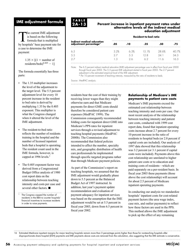# **IME adjustment formula**

The current IME adjustment is based on the following formula that is multiplied by hospitals' base payment rate for a case to determine the IME payment:

> $1.35 \times [(1 +$  number of  $residents/beds)^{0.405} - 1$ ]

The formula essentially has three parts:

- The 1.35 multiplier increases the level of the adjustment to the target level. The 5.5 percent adjustment level for every 10 percent increase in the resident to bed ratio is derived by multiplying 1.35 by the 0.405 exponent. This multiplier is what the Congress changed when it altered the level of the IME adjustment.
- The resident-to-bed ratio reflects the number of residents training in the hospital and the number of licensed inpatient beds that a hospital is operating. The resident count used in the IME formula, however, is capped at 1996 levels. $<sup>1</sup>$ </sup>
- The 0.405 exponent factor was derived from a Congressional Budget Office analysis of 1980 cost report data on the relationship between teaching intensity and costs per case and several other factors.  $\blacksquare$

The Congress capped the number of residents in the BBA to counter hospitals' financial incentives to increase residents in order to raise payments.

# **TABLE 2A-13**

#### **Percent increase in inpatient payment rates under alternative levels of the indirect medical education adjustment**

**Resident-to-bed ratio**

|                                                      | Resident-to-bed ratio |      |      |                               |       |
|------------------------------------------------------|-----------------------|------|------|-------------------------------|-------|
| Indirect medical education<br>adjustment percentage* | .05                   | 10.  | .25  | .50                           | 75    |
| 6.5                                                  | 3.2%                  | A.3% | 151% | 28.6%                         | 10 7% |
| 5.5                                                  | ') /                  | 53   | 2 X  | 24 1                          | 34.3  |
| 27                                                   | ାମ                    | クゟ   |      | $\mathsf{H} \circ \mathsf{H}$ | 16 R  |

Note: The 6.5 percent indirect medical education (IME) adjustment percentage was in effect from fiscal year 2000 through fiscal year 2002. The 5.5 percent IME adjustment started in fiscal year 2003. The 2.7 percent adjustment is the estimated empirical level of the IME adjustment.

\* Per 10 percent increment of teaching intensity, measured by the ratio of residents to beds.

Source: MedPAC analysis.

residents bear the cost of their training by receiving lower wages than they might otherwise earn and that Medicare payments for direct GME costs should therefore be considered patient care expenses (MedPAC 1999). The Commission consequently recommended folding costs for inpatient direct GME into Medicare's PPS rates for inpatient services through a revised adjustment to teaching hospital payments (MedPAC 2000b). The Commission also recommended that federal policies intended to affect the number, specialty mix, and geographic distribution of health care professionals be implemented through specific targeted programs rather than through Medicare payment policies.

As part of the Commission's report on teaching hospitals, we assumed that the IME adjustment would gradually phase down to 5.5 percent as the Balanced Budget Act of 1997 instructed. In addition, last year's payment update recommendation and evaluation of payment adequacy for inpatient services was based on the assumption that the IME adjustment would be set at 5.5 percent in fiscal year 2003, down from 6.5 percent in fiscal year 2002.

#### **Relationship of Medicare's IME payments to patient care costs**

Medicare's IME payments exceed the estimated cost relationship between teaching intensity and costs per case. Our most recent analysis of the relationship between teaching intensity and patient care costs, conducted with 1999 cost report data, found that inpatient operating costs increase about 2.7 percent for every 10 percent increase in the ratio of residents to hospital beds (or 2.8 percent if capital costs are included). Our analysis of 1997 data showed that this relationship was 3.2 percent (or 3.1 percent if capital costs were included). Payments above this cost relationship are unrelated to higher patient care costs or to education and training costs of residents—which are paid separately on a per-resident basis. In fiscal year 2003 these payments (those above the cost relationship) will account for about 2.5 percent of Medicare inpatient operating payments.

In conducting our analysis we standardize hospitals' inpatient costs for cost-related payment factors (the area wage index, case mix, and outlier payments) to reflect how these factors are used in the PPS. This method allows the IME adjustment to pick up the effect of any remaining

16 Estimated Medicare inpatient margins for major teaching hospitals remain more than 3 percentage points higher than those for nonteaching hospitals after disproportionate share hospital (DSH) payments and IME payments above costs are removed from the calculation, also suggesting that the IME estimate is conservative.

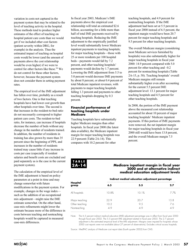variation in costs not captured in the payment system that may be related to the level of teaching activity in the hospital. These methods tend to produce higher estimates of the effect of teaching on hospital patient care costs than we would get if we included other cost factors (patient severity within DRG, for example) in the analysis. Thus the estimated impact of teaching on hospital costs would be lower (and the amount of payments above the cost relationship would be even higher) if we were to control for other factors like these.16 We do not control for these other factors, however, because the payment system does not consider them in setting payment rates.

The empirical level of the IME adjustment has fallen over time, probably as a result of two factors. One is that teaching hospitals have had lower cost growth than other hospitals over time. The second is that increases in the resident-to-bed ratio do not necessarily correspond to higher patient care costs. The resident-to-bed ratio, for instance, can increase if hospitals decrease the number of beds without any change in the number of residents trained. In addition, the number of residents in training has also grown by more than 35 percent since the beginning of PPS, and increases in the number of residents trained may cause little if any increase in costs per case (especially if resident salaries and benefit costs are excluded and paid separately as is the case in the current payment system).

The calculation of the empirical level of the IME adjustment is based on policy parameters at a point in time and may change somewhat with future modifications in the payment system. For example, changes in the wage index such as the addition of an occupational mix adjustment—might raise the IME estimate somewhat. On the other hand, case-mix refinements might lower the estimate because more of the difference in costs between teaching and nonteaching hospitals would be captured in measured case-mix differences.

In fiscal year 2003, Medicare's IME payments above the empirical cost relationship will total an estimated \$2.6 billion, accounting for a little more than half of total IME payments received by teaching hospitals. Reducing the IME adjustment to the empirically justified level would substantially lower Medicare inpatient payments to teaching hospitals; for major teaching hospitals—those with 25 or more residents per 100 hospital beds—payments would fall by 7.2 percent, and other teaching hospitals' payments would decline by 1.7 percent. Lowering the IME adjustment from 5.5 to 5.0 percent would decrease IME payments by about 8 percent, or about 0.4 percent of total Medicare inpatient revenues, with payments to major teaching hospitals falling 1.3 percent and payments to other teaching hospitals dropping by 0.3 percent.

#### **Financial performance of teaching hospitals under Medicare**

Teaching hospitals have substantially higher Medicare margins than other hospitals. In fiscal year 2000 (the latest data available), the Medicare inpatient margin for major teaching hospitals was 22.9 percent (Table 2A-14). This compares with 10.2 percent for other

teaching hospitals, and 4.9 percent for nonteaching hospitals. If the IME adjustment had been set at 5.5 percent in fiscal year 2000 instead of 6.5 percent, the inpatient margin would have been 20.7 percent for major teaching hospitals and 9.5 percent for other teaching hospitals.

The overall Medicare margin (considering most Medicare services furnished by hospitals) was also substantially higher for major teaching hospitals in fiscal year 2000: 14.9 percent compared with 5.0 percent for other teaching and –0.2 percent for nonteaching hospitals (Table 2A-15, p. 58). Teaching hospitals' overall Medicare margins still remain substantially higher even after accounting for the current 5.5 percent IME adjustment level: 13.1 percent for major teaching hospitals and 4.5 percent for other teaching hospitals.

In 2000, the portion of the IME payment above the measured cost relationship accounted for about 10 percent of major teaching hospitals' Medicare inpatient payments. If this portion of IME payments were removed, the net inpatient margin for major teaching hospitals in fiscal year 2000 still would have been 13.8 percent, and the overall Medicare margin 7.5 percent.

**Medicare inpatient margin in fiscal year** 

**2000 and at alternative indirect medical education adjustment levels**

# **TABLE 2A-14**

|                   | Indirect medical education adjustment percentage |       |     |  |
|-------------------|--------------------------------------------------|-------|-----|--|
| Hospital<br>group | 6.5                                              | 5.5   |     |  |
| All hospitals     | 10.8%                                            | 10.1% | 77% |  |
| Major teaching    | 22 Q                                             | 20.7  | 3.8 |  |
| Other teaching    | 10.2 <sup>2</sup>                                | 9.5   | 7.6 |  |
| Nonteaching       | 49                                               | 49    | 1 Q |  |

Note: The 6.5 percent indirect medical education (IME) adjustment percentage was in effect from fiscal year 2000 through fiscal year 2002. The 5.5 percent IME adjustment started in fiscal year 2003. The 2.7 percent adjustment is the estimated empirical level of the IME adjustment. Margins were imputed for hospitals whose 2000 cost reports were not available (about 27 percent of observations). Excludes critical access hospitals.

Source: MedPAC analysis of Medicare cost report data (fourth quarter 2002) from CMS.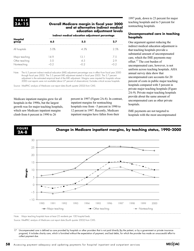**TABLE 2A-15**

#### **Overall Medicare margin in fiscal year 2000 and at alternative indirect medical education adjustment levels**

#### **Indirect medical education adjustment percentage**

| Hospital<br>group                               | 6.5         | 5.5        | 2.7       |
|-------------------------------------------------|-------------|------------|-----------|
| All hospitals                                   | 5.0%        | 4.3%       | 2.5%      |
| Major teaching<br>Other teaching<br>Nonteaching | 14 Q<br>5 O | 13.1<br>45 | 7.5<br>29 |

Note: The 6.5 percent indirect medical education (IME) adjustment percentage was in effect from fiscal year 2000 through fiscal year 2002. The 5.5 percent IME adjustment started in fiscal year 2003. The 2.7 percent adjustment is the estimated empirical level of the IME adjustment. Margins were imputed for hospitals whose 2000 cost reports were not available (about 27 percent of observations). Excludes critical access hospitals.

Source: MedPAC analysis of Medicare cost report data (fourth quarter 2002) from CMS.

Medicare inpatient margins grew for all hospitals in the 1990s, but the largest growth was for major teaching hospitals, which saw Medicare inpatient margins climb from 6 percent in 1990 to 26

percent in 1997 (Figure 2A-8). In contrast, inpatient margins for nonteaching hospitals rose from –5 percent in 1990 to 12 percent in 1997. Recently, Medicare inpatient margins have fallen from their

1997 peak, down to 23 percent for major teaching hospitals and to 5 percent for nonteaching hospitals.

#### **Uncompensated care in teaching hospitals**

One argument against reducing the indirect medical education adjustment is that teaching hospitals provide a substantial amount of uncompensated care, which the IME payments may offset.17 The cost burden of uncompensated care, however, is not uniform across teaching hospitals. AHA annual survey data show that uncompensated care accounts for 20 percent of costs in public major teaching hospitals compared with 5 percent in private major teaching hospitals (Figure 2A-9). Private major teaching hospitals provide about the same amount of uncompensated care as other private hospitals.

IME payments are not targeted to hospitals with the most uncompensated



Note: Major teaching hospitals have at least 25 residents per 100 hospital beds.

Source: MedPAC analysis of Medicare cost report data (fourth quarter 2002) from CMS.

17 Uncompensated care is defined as care provided by hospitals or other providers that is not paid directly (by the patient, or by a government or private insurance program). It includes charity care, which is furnished without the expectation of payment, and bad debts, for which the provider has made an unsuccessful effort to collect payment due.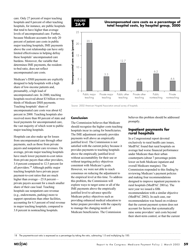care. Only 27 percent of major teaching hospitals and 8 percent of other teaching hospitals, for instance, are public hospitals that tend to have higher than average levels of uncompensated care. Further, because Medicare accounts for only 20 percent of patient care costs in public major teaching hospitals, IME payments above the cost relationship can have only limited effectiveness in helping defray these hospitals' uncompensated care burdens. Moreover, the variable that determines IME payments, the residentto-bed ratio, does not reflect uncompensated care costs.

Medicare's DSH payments are explicitly designed to help hospitals with a high share of low-income patients and, presumably, a high load of uncompensated care. In 2000, teaching hospitals received about \$3 billion or twothirds of Medicare DSH payments. Teaching hospitals' share of uncompensated care costs was about 62 percent in 2000. Teaching hospitals also received more than 80 percent of state and local payments for uncompensated care, the vast majority of which went to public major teaching hospitals.

Hospitals can also make up for losses from uncompensated care through other payments, such as those from private payers and nonpatient care revenues. On average, private major teaching hospitals have much lower payment-to-cost ratios from private payers than other providers, 3.4 percent compared to 12.5 percent for all providers.18 Although public major teaching hospitals have private payer payment-to-cost ratios that are much higher than average—25.8 percent private payers account for a much smaller share of their case load. Teaching hospitals use nonpatient care revenue (e.g., endowments, parking) more to support operations than other facilities, accounting for 6.5 percent of total revenue in major teaching hospitals, compared to 3.8 percent in nonteaching hospitals.



#### **Uncompensated care costs as a percentage of total hospital costs, by hospital group, 2000**



#### **Conclusion**

The Commission believes that Medicare should recognize the higher costs teaching hospitals incur in caring for beneficiaries. The IME adjustment currently provides payments well above an empirically justified level. The Commission is not satisfied with the current policy because it provides payments to teaching hospitals above the empirically justified level without accountability for their use or without targeting policy objectives consistent with Medicare's goals. However, we were not able to reach consensus on reducing the adjustment to the empirical level at this time. To address this problem, the Commission will explore ways to target some or all of the IME payments above the empirically justified level to advance specific Medicare policy objectives such as providing enhanced medical education to better prepare providers with the capacity to manage the changing needs of Medicare beneficiaries. The Commission

believes this problem should be addressed promptly.

#### **Inpatient payments for rural hospitals**

In a Congressional report devoted exclusively to rural health care issues, MedPAC found that rural hospitals on average had worse financial performance under Medicare than their urban counterparts (about 7 percentage points lower on both Medicare inpatient and overall Medicare margins). The Commission responded to this finding by reviewing Medicare's payment policies and making four recommendations designed to improve inpatient payments to rural hospitals (MedPAC 2001a). The next year we issued a fifth recommendation with a similar objective (MedPAC 2002). In each case, our recommendation was based on evidence that the current payment system does not account for factors that systematically raise some providers' unit costs beyond their short-term control, or that the current

18 The payment-to-cost ratio is expressed as a percentage by taking the ratio, subtracting 1.0 and multiplying by 100.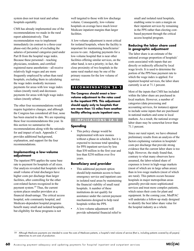system does not treat rural and urban hospitals equitably.

CMS has already implemented one of the recommendations we made in the rural report administratively. That recommendation was to implement immediately (in contrast to a three-year phase-out) the policy of excluding the salaries of personnel categories paid under Part B from the hospital wage index. Because these personnel—teaching physicians, residents, and certified registered nurse anesthetists—all receive relatively high wages and are more frequently employed by urban than rural hospitals, excluding them in calculating the wage index modestly increases payments for areas with low wage index values (mostly rural) and decreases payments for areas with high wage index values (mostly urban).

The other four recommendations would require legislative changes, and although the Congress has considered all four, none has been enacted to date. We are repeating these four recommendations this year. In this section we summarize the recommendations along with the rationale for and impact of each. Appendix C provides additional background, explanation, and support for the four recommendations.

#### **Implementing a low-volume adjustment**

The inpatient PPS applies the same base rate to payment for hospitals of all sizes. Our analysis revealed that hospitals with a small volume of total discharges have higher costs per discharge than larger facilities, after controlling for the other cost-related factors recognized in the payment system.19 Thus, the current system places smaller providers at a financial disadvantage. The critical access hospital, sole community hospital, and Medicare-dependent hospital programs benefit many small and isolated hospitals, but eligibility for these programs is not

well targeted to those with low discharge volume. Consequently, low-volume hospitals on average have much lower Medicare inpatient margins than larger facilities.

A low-volume adjustment is most critical for isolated hospitals, where the facility is important for maintaining beneficiaries' access to care. Adjusting payments for a low-volume hospital that is near other facilities offering similar services, on the other hand, is not a priority; in fact, the close proximity of two hospitals in the same rural market may be one of the primary reasons for the low volume of service.

# **RECOMMENDATION 2A-2**

**The Congress should enact a lowvolume adjustment to the rates used in the inpatient PPS. This adjustment should apply only to hospitals that are more than 15 miles from another facility offering acute inpatient care.**

#### **IMPLICATIONS 2A-2**

#### **Spending**

This policy change would be implemented with new monies without a phase-in schedule, but it is expected to increase total spending for PPS inpatient services by less than \$50 million in the first year and less than \$250 million over five years.

#### **Beneficiary and provider**

- This additional payment option should help maintain access to basic emergency service and inpatient care in isolated rural areas by maintaining the financial viability of small rural hospitals. A number of these institutions do not qualify for assistance under the current payment mechanisms designed to help rural hospitals within the PPS.
- A low-volume adjustment will provide substantial financial relief to

small and isolated rural hospitals, enabling some to earn a margin on their inpatient services by remaining in the PPS rather than electing costbased payment through the critical access hospital program.

#### **Reducing the labor share used in geographic adjustment**

The labor share is an estimate of the national average proportion of hospitals' costs associated with inputs that are directly or indirectly affected by local wage levels. It is used to determine the portion of the PPS base payment rate to which the wage index is applied. For inpatient hospital services, the labor share currently is set at 71.1 percent.

Most of the inputs that CMS has included within the labor share are purchased in local markets. However, a number of categories (data processing and accounting services, for instance) appear to include some inputs that are purchased in national markets and some in local markets. As a result, the national average labor share may be somewhat lower than 71.1 percent.

Since our rural report, we have obtained preliminary results from an analysis of the factors explaining variation in hospitals' costs per discharge that provide strong evidence that the current labor share is too high. However, the study found that, contrary to what many observers have assumed, the labor-related share of expenses is lower in high-wage markets (most of which are in large urban areas) than in low-wage markets (most of which are rural). This pattern occurs because hospitals in major metropolitan areas generally provide more sophisticated services and treat more complex patients, which raises their costs for plant and equipment. In the coming year, MedPAC will undertake a follow-up study designed to identify the best labor share value for the hospital industry as a whole.

19 Although Medicare payments are intended to cover the costs of Medicare patients, a hospital's total volume of service (that is, including patients covered by all payers) determines its unit costs of production.

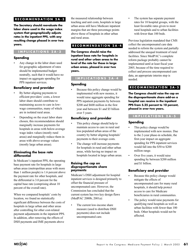# **RECOMMENDATION 2A-3**

**The Secretary should reevaluate the labor share used in the wage index system that geographically adjusts rates in the inpatient PPS, with any resulting change phased in over two years.**

# **IMPLICATIONS 2A-3**

#### **Spending**

• Any change in the labor share used for geographic adjustment of rates should be implemented budget neutrally, such that it would have no impact on aggregate spending for PPS inpatient services.

#### **Beneficiary and provider**

- By better aligning payments to efficient providers' costs, a lower labor share should contribute to maintaining access to care in lowwage communities, many of which are in isolated rural areas.
- Depending on the exact labor share chosen, this recommendation should marginally increase payments for hospitals in areas with below-average wage index values (mostly rural areas) and marginally reduce them in areas with above-average values (mostly large urban areas).

#### **Eliminating the base rate differential**

In Medicare's inpatient PPS, the operating base payment rate for hospitals in large urban areas (metropolitan areas with more than 1 million people) is 1.6 percent above the payment rate for other hospitals, and the differential is 3.0 percent for the capital base rate (comprising about 10 percent of the overall rate).

When we compared hospitals' costs by location, we found no statistically significant difference between the costs of hospitals in large urban and other areas after controlling for other cost-related payment adjustments in the inpatient PPS. In addition, after removing the effects of DSH payments and IME payments above

the measured relationship between teaching and unit costs, hospitals in large urban areas still have Medicare inpatient margins that are three percentage points above those of hospitals in other urban and rural areas.

# **RECOMMENDATION 2A-4**

**The Congress should raise the inpatient base rate for hospitals in rural and other urban areas to the level of the rate for those in large urban areas, phased in over two years.**

#### **IMPLICATIONS 2A-4**

#### **Spending**

Because this policy change would be implemented with new monies, it would raise aggregate spending for PPS inpatient payments by between \$200 and \$600 million in the first year and between \$1 and \$5 billion over 5 years.

#### **Beneficiary and provider**

- This policy change should help to maintain access to care in rural and less populated urban areas of the country by better aligning hospitals' payments to their average costs.
- The change will increase payments for hospitals in rural and other urban areas, while having no impact on hospitals located in large urban areas.

#### **Raising the cap on disproportionate share payments**

Medicare's DSH adjustment for hospital inpatient services is designed primarily to offset the financial pressure of uncompensated care. However, the Commission has concluded that the current system has two key design flaws (MedPAC 2000b, 2001a):

• The current low-income share measure (used to distribute DSH payments) does not include uncompensated care.

The system has separate payment rates for 10 hospital groups, with the least favorable rates given to most rural hospitals and to urban facilities with fewer than 100 beds.

Previous legislation mandated that CMS collect the uncompensated care data needed to reform the system and partially addressed the unequal treatment of rural facilities. Since MedPAC's complete reform package probably cannot be implemented until at least fiscal year 2005, because of the time required to collect and process uncompensated care data, an appropriate interim step is needed.

# **RECOMMENDATION 2A-5**

**The Congress should raise the cap on the disproportionate share add-on a hospital can receive in the inpatient PPS from 5.25 percent to 10 percent, phased in over two years.**

#### **IMPLICATIONS 2A-5**

# **Spending**

- This policy change would be implemented with new monies. Due to the 2-year phase-in schedule, the first-year impact on aggregate spending for PPS inpatient services would fall into the \$50 to \$200 million range.
- Over five years, it would raise spending by between \$200 million and \$1 billion.

#### **Beneficiary and provider**

- Because this policy change would mitigate the effects of uncompensated care for many rural hospitals, it should help protect access to care for Medicare beneficiaries in rural communities.
- The policy would raise payments for qualifying rural hospitals as well as urban facilities with fewer than 100 beds. Other hospitals would not be affected.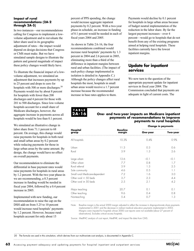#### **Impact of rural recommendations (2A-2 through 2A-5)**

In two instances—our recommendations calling for Congress to implement a lowvolume adjustment and to reevaluate the labor share used in its geographic adjustment of rates—the impact would depend on design decisions that Congress or CMS must make. But we have simulated sample designs to illustrate the pattern and general magnitude of impact these policy changes would likely have.

To illustrate the financial impact of a lowvolume adjustment, we simulated an adjustment that increases payments by up to 25 percent and drops to zero for hospitals with 500 or more discharges.<sup>20</sup> Payments would rise by about 8 percent for hospitals with fewer than 200 discharges and 4 percent for those with 201 to 500 discharges. Since low-volume hospitals account for a small share of Medicare discharges, however, the aggregate increase in payments across all hospitals would be less than 0.1 percent.

We simulated an illustrative change in labor share from 71.1 percent to 68 percent. On average, this change would raise payments for hospitals in both rural and small urban areas by 0.2 percent while reducing payments for those in large urban areas by the same amount. By design, the change would have no effect on overall payments.

Our recommendation to eliminate the differential in base payment rates would raise payments for hospitals in rural areas by 1.2 percent. With the two year phase-in we are recommending, a 0.3 percent increase in funding would be needed in fiscal year 2004, followed by a 0.4 percent increase in 2005.

Implemented with new funding, our recommendation to raise the cap on the DSH add-on from 5.25 to 10 percent would increase rural hospitals' payments by 1.2 percent. However, because rural hospitals account for only about 15

percent of PPS spending, the change would increase aggregate inpatient payments by 0.2 percent. With a two-year phase-in schedule, an increase in funding of 0.1 percent would be needed in each of fiscal years 2004 and 2005.

As shown in Table 2A-16, the four recommendations combined would increase rural hospitals' payments by 1.3 percent in 2004 and 2.6 percent in 2005, eliminating more than a third of the difference in inpatient margins between rural and urban facilities. (The impact of each policy change implemented in isolation is detailed in Appendix C.) Although the policy changes affect rural hospitals the most, hospitals in small urban areas would receive a 1.7 percent increase because the recommended increase in base rates applies to them.

Payments would decline by 0.1 percent for hospitals in large urban areas because of budget neutral implementation of the reduction in the labor share. By far the largest payment increases—over 4 percent—would go to hospitals that do not benefit from any of the existing programs aimed at helping rural hospitals. These facilities currently have the lowest inpatient margins.

# **Update for inpatient services**

We now turn to the question of the appropriate payment update for inpatient services in fiscal year 2004. The Commission concluded that payments are adequate in light of current costs. The

# **TABLE 2A-16**

#### **One- and two-year impacts on Medicare inpatient payments of recommendations to improve payments to rural hospitals**

|                                |                           | <b>Change in payments</b> |          |  |
|--------------------------------|---------------------------|---------------------------|----------|--|
| Hospital<br>group              | <b>Baseline</b><br>margin | One-year                  | Two-year |  |
| All hospitals                  | 10.3%                     | 0.4%                      | 0.9%     |  |
| Urban                          | 11.3                      | 0.3                       | 0.6      |  |
| Rural                          | 3.9                       | 1.3                       | 2.6      |  |
| Large urban                    | 13.6                      | $-0.1$                    | $-0.1$   |  |
| Other urban                    | 7.7                       | 0.8                       | 1.7      |  |
| Rural referral                 | 3.9                       | 1.3                       | 2.5      |  |
| Sole community                 | 4.6                       | 0.5                       | 1.1      |  |
| Small rural Medicare-dependent | 7.2                       | 16                        | 3.0      |  |
| Other rural $<$ 50 beds        | 3.7                       | 2.3                       | 4.4      |  |
| Other rural $\geq$ 50 beds     | 2.5                       | 2.1                       | 4.2      |  |
| Major teaching                 | 20.7                      | 0.1                       | 0.1      |  |
| Other teaching                 | 9.6                       | 0.4                       | 0.8      |  |
| Nonteaching                    | 5.4                       | 0.7                       | 1.3      |  |

Note: Baseline margin is the actual 2000 margin adjusted to reflect the increase in disproportionate share payments implemented in 2001 and the decrease in indirect medical education payments implemented in 2003. Margins were imputed for hospitals whose 2000 cost reports were not available (about 27 percent of observations). Excludes critical access hospitals.

Source: MedPAC analysis of cost report, MedPAR, and impact file data from CMS.

20 The formula we used in this simulation, which derives from our multivariate cost analysis, is documented in Appendix C.

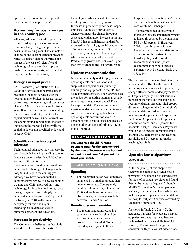update must account for the expected increase in efficient providers' costs.

# **Accounting for cost changes in the coming year**

After any adjustments to the update for payment adequacy, the Commission examines likely changes in providers' costs in the coming year. The estimate of changes in the costs of efficient providers reflects expected changes in prices, the impact of the costs of scientific and technological advances that improve quality but increase costs, and expected improvements in productivity.

#### **Changes in input prices**

CMS measures price inflation for the goods and services that hospitals use in producing inpatient services with the hospital market basket. Separate market baskets measure operating and capital cost changes. CMS's latest forecast for fiscal year 2004 is 3.5 percent for the operating market basket and 1.4 percent for the capital market basket. Under current law the operating update will equal the rate of increase in the market basket, while the capital update is not specified by law and is set by CMS.

#### **Scientific and technological advances**

Technological advances may increase the costs hospitals incur in providing care to Medicare beneficiaries. MedPAC takes account of this in its update recommendation based on information on anticipated technological changes in the hospital industry in the coming year. Although we have not conducted a comprehensive review of new technology, we note that CMS approved only one technology for inpatient technology passthrough payments. Accordingly, we believe that an allowance of 0.5 percent for fiscal year 2004 will compensate adequately for this one major technological advance as well as numerous other smaller advances.

#### **Increases in productivity**

The Commission believes that hospitals should be able to cover the costs of

technological advances with the savings resulting from productivity gains. Increases in productivity decrease hospital unit costs. An index of productivity change estimates the change in output associated with a given increase in inputs. MedPAC has established a standard for expected productivity growth based on the 10-year average growth rate of total factor productivity in the general economy, which currently equals 0.9 percent. Productivity growth has been even higher than this average in the last several years.

# **Update recommendation**

Medicare separately updates payments for operating costs (such as labor and supplies) and capital costs (primarily buildings and equipment) in the PPS for acute inpatient services. The Congress sets the update for operating payments, usually several years in advance, and CMS sets the capital update. The Commission's inpatient update recommendation focuses solely on the operating update because operating costs account for about 92 percent of total hospital costs and because the operating update is of primary interest to the Congress.

# **RECOMMENDATION 2A-6**

**The Congress should increase payment rates for the inpatient PPS by the rate of increase in the hospital market basket, less 0.4 percent, for fiscal year 2004.**

# **IMPLICATIONS 2A-6**

#### **Spending**

This recommendation would increase payments by a smaller amount than under current law. Consequently, it would result in savings of between \$200 and \$600 million in one year. Over 5 years, the savings would be between \$1 and \$5 billion.

#### **Beneficiary and provider**

The recommendation results in a payment increase that should be adequate to cover increases in provider costs for 2004. To the extent that adequate payment allows

hospitals to meet beneficiaries' health care needs, beneficiaries' access to care would be unchanged.

The recommended update would increase Medicare inpatient payments to hospitals covered by the inpatient PPS by 3.1 percent in fiscal year 2004. In combination with the Commission's recommendations on expansion of the post-acute care transfer policy and its rural recommendations the update recommendation would increase payments by 3.2 percent (Table 2A-17, p. 64).

The increase in the market basket and the recommended offset for the costs of technological advances net of productivity change affect recommended payments to all hospitals equally. The distributional impacts of the rural and transfer policy recommendations affect hospital groups differently. Together, the Commission's recommendations lead to payment increases of 4.2 percent for hospitals in rural areas, 3.6 percent for hospitals in other urban areas, and 2.7 percent for hospitals in large urban areas. Payments would rise 3.5 percent for nonteaching hospitals, 3.2 percent for other teaching hospitals, and 2.8 percent for major teaching hospitals.

# **Update for outpatient services**

At the beginning of this chapter, we reviewed the adequacy of Medicare's payments in relationship to current costs for most of hospitals' services and found them to be at least adequate. Although MedPAC considers Medicare payment adequacy for the hospital as a whole, we make a separate update recommendation for hospital outpatient services covered by Medicare's outpatient PPS.

As shown in Table 2A-2 (p. 40), the aggregate margins for Medicare hospital outpatient services improved between 1999 (–16.4 percent) and 2000 (–13.7 percent). The improved margins are consistent with policies that added funds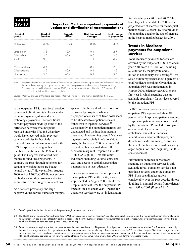#### **Impact on Medicare inpatient payments of update and distributional recommendations**

| Hospital<br>group                               | Market<br>basket  | Update<br>offset           | <b>Distributional</b><br>changes | Net change<br>in payments |
|-------------------------------------------------|-------------------|----------------------------|----------------------------------|---------------------------|
| All hospitals                                   | 3.5%              | $-0.4%$                    | 0.1%                             | 3.2%                      |
| Large urban<br>Other urban<br>Rural             | 3.5<br>3.5<br>3.5 | $-0.4$<br>$-0.4$<br>$-0.4$ | -0.4<br>0.5                      | 2.7<br>3.6<br>42          |
| Major teaching<br>Other teaching<br>Nonteaching | 3.5<br>3.5<br>3.5 | $-0.4$<br>$-0.4$<br>-0 4   | $-0.3$<br>()<br>04               | 2.8<br>3.2<br>3.5         |

Note: Recommendations include the update; a low-volume adjustment; eliminating the base rate differential; reducing the labor share; raising the cap on disproportionate share payments; and expanding the transfer policy. Payments are imputed for hospitals whose 2000 cost reports were not available (about 27 percent of observations). Excludes critical access hospitals.

Source: MedPAC analysis of Medicare cost report, MedPAR, impact file, and market basket data from CMS.

to the outpatient PPS: transitional corridor payments to limit hospitals' losses under the new payment system and new technology payments. The transitional corridor payments made up some of the difference between what hospitals received under the PPS and what they would have received under previous payment policies for hospitals that received lower reimbursements under the PPS. Hospitals receiving higher reimbursements under the PPS kept the gains. The Congress authorized new monies to fund these payments. In contrast, the pass-through payments for certain new technologies are budget neutral by law.21 However, from August 2000 to April 2002, CMS did not enforce the budget-neutrality provisions due to administrative and congressional actions.

As discussed previously, the large negative values for the outpatient margins

appear to be the result of cost allocation decisions by hospitals, where a disproportionate share of fixed costs seem to be allocated to outpatient services rather than to inpatient services.<sup>22</sup> Consequently, the outpatient margins are understated and the inpatient margins overstated. In examining overall Medicare payments to hospitals in relationship to costs, the fiscal year 2000 margin is 5.0 percent, with an estimated overall Medicare margin of 3.9 percent in 2003 (Table 2A-3, p. 41). This and other indicators, including volume, entry and exit, and access to capital suggest that payments are at least adequate.

The Congress mandated development of the outpatient PPS in the BBA; it was implemented in August 2000. Unlike the hospital inpatient PPS, the outpatient PPS operates on a calendar year. Updates for outpatient services were set in legislation

for calendar years 2001 and 2002. The Secretary set the update for 2003 at the projected rate of increase for the hospital market basket. Current law also provides for an update equal to the rate of increase in the hospital market basket for 2004.

#### **Trends in Medicare payments for outpatient services**

Total Medicare payments for services covered by the outpatient PPS in calendar year 2001 were \$16.3 billion, including \$9.2 billion by the program and \$7.1 billion in beneficiary cost-sharing.<sup>23</sup> This \$16.3 billion represents about 6 percent of total Medicare spending. Given that the outpatient PPS was implemented in August 2000, calendar year 2001 is the first year in which spending data are available specifically for services covered by the outpatient PPS.

In 2001, services covered under the outpatient PPS represented about 87 percent of all hospital outpatient spending. Hospital outpatient services not covered by the outpatient PPS include those paid on a separate fee schedule (e.g., ambulance, clinical lab services, rehabilitation and other therapies, and durable medical equipment), as well as those still reimbursed on a cost basis (e.g., organ acquisition, and, beginning in 2003, some vaccines).

Information on trends in Medicare spending on outpatient services is only available for all outpatient services, not just those covered under the outpatient PPS. Such spending has grown considerably over the past decade, almost doubling in nominal dollars from calendar year 1991 to 2001 (Figure 2A-10).

#### 21 See Chapter 4 for further discussion of the pass-through payment mechanism.

22 The Health Care Financing Administration (now CMS) commissioned a study of hospitals' cost allocation practices and found that the general pattern of over-allocation to outpatient services existed, at least in part as a response to the introduction of prospective payment for inpatient services, while outpatient services continued to be reimbursed based on reported costs (CHPS Consulting 1994).

23 Beneficiary cost-sharing for hospital outpatient services has not been based on 20 percent of total payments, as it has been for most other Part B services. Historically, the Medicare program based its payments on hospitals' costs, whereas the beneficiary coinsurance was based on 20 percent of charges. Over time, charges increased more quickly than costs, resulting in beneficiaries paying a greater share of total payments, reaching 50 percent by 2000. This trend was reversed under the outpatient PPS, and beneficiary cost-sharing will slowly decline, although it will continue to be greater than 20 percent for the foreseeable future.

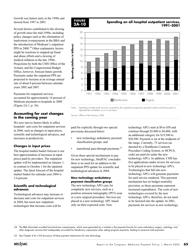Growth was fastest early in the 1990s and slowed from 1997 to 2001.

Several factors contributed to the slowing of growth since the mid-1990s, including policy changes such as the elimination of inadvertent overpayments in the BBA and the introduction of Medicare's outpatient PPS in 2000.<sup>24</sup> Other explanatory factors might be reactions to stepped-up fraud and abuse efforts and a slowing of medical inflation in the late 1990s. Projections by both the CMS Office of the Actuary and the Congressional Budget Office, however, forecast future growth. Payments under the outpatient PPS are projected to increase at an average annual rate of about 8 percent between calendar years 2002 and 2007.

Payments for outpatient services accounted for approximately 14 percent of Medicare payments to hospitals in 2000 (Figure 2A-1, p. 36).

#### **Accounting for cost changes in the coming year**

We now turn to factors likely to affect hospitals' unit costs for outpatient services in 2004, such as changes in input prices, scientific and technological advances, and increases in productivity.

#### **Changes in input prices**

The hospital market basket forecast is our best approximation of increases in input prices paid by providers. The outpatient update will be implemented on January 1, in contrast to October 1 for the inpatient update. The latest forecast of the hospital market basket for calendar year 2004 is 3.4 percent.

#### **Scientific and technological advances**

Technological advances may increase or decrease unit costs for outpatient services in 2004, but most new outpatient technologies that increase costs will be



#### **Spending on all hospital outpatient services, 1991–2001**



Note: Spending includes both services covered by the outpatient prospective payment system and those paid on separate fee schedules or on a cost basis.

paid for explicitly through two special provisions discussed below:

- new technology ambulatory payment classification groups; and
- transitional pass-through payments. $25$

Given these special mechanisms to pay for new technology, MedPAC concludes there is no need for an addition to the outpatient PPS update for scientific and technological advances in 2004.

#### **New technology ambulatory payment classification groups**

The new technology APCs pay for completely new services, such as a positron emission tomography (PET) scan or a new surgical procedure. Services are placed in a new technology APC based only on their expected costs. New

technology APCs start at \$0 to \$50 and continue through \$5,000 to \$6,000, with an additional category for \$19,500 to \$20,500. Payment is set at the midpoint of the range. Currently, 75 services (as denoted by a Healthcare Common Procedure Coding System, or HCPCS, code) are paid for under the new technology APCs. In addition, CMS has five applications under review for services to be placed in new technology APCs. Technologies that fall into new technology APCs will generate payments for each service rendered. This payment mechanism has no budget neutrality provision, so these payments represent increased expenditures. The costs of new technologies covered by the new technology APCs, therefore, do not need to be factored into the update. In 2001, payments for services in new technology

24 The BBA eliminated so-called formula-driven overpayments, which were generated by a mistake in the payment formula for some ambulatory surgery, radiology, and other diagnostic services that inadequately accounted for beneficiary copayments when setting program payments, leading to excessive total payments.

25 See Chapter 4 for a full discussion of these payment mechanisms for new technology.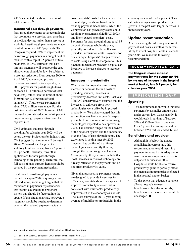APCs accounted for about 1 percent of total payments.26

#### **Transitional pass-through payments**

Pass-through payments cover technologies that are inputs to a service, such as a drug or medical device, rather than a service as a whole. Pass-through payments are made in addition to base APC payments. The Congress required CMS to implement the pass-through payments in a budget neutral manner, with a cap of 2.5 percent of total payments. If CMS estimates that passthrough payments will be above the cap, all payments should, by law, be subject to a pro rata reduction. From August 2000 to April 2002, however, no pro rata reduction was made. Consequently, in 2001, payments for pass-through items exceeded \$1.3 billion (8 percent of total payments), rather than the limit of about \$450 million (2.5 percent of total payment).27 Thus, excess payments of about \$750 million were made. For the last nine months of 2002, however, CMS imposed a pro rata reduction of 64 percent on pass-through payments to ensure the cap was met.

CMS estimates that pass-through spending for calendar year 2003 will be below the cap. Projections by industry and CMS suggest that the same will be true in 2004 (2004 marks a change in the statutory limit for the cap from 2.5 percent to 2 percent). Currently, fewer than 10 applications for new pass-through technologies are pending. Therefore, the full costs of pass-through items should be covered by the payment mechanism.

If estimated pass-through payments exceed the cap in 2004, requiring a pro rata reduction, some might argue that the reductions in payments represent costs that are not covered by the payment system that should be factored into the update. If this situation arises, however, a judgment would be needed to determine whether the reduced payments actually

cover hospitals' costs for these items. The estimated payments are based on the existing payment mechanisms, which the Commission has previously stated could result in overpayments (MedPAC 2002) and likely exceed providers' costs. Payments for pass-through drugs equal 95 percent of average wholesale price, generally considered to be well above providers' acquisition costs. Payments for devices equal hospitals' charges reduced to costs using a cost-to-charge ratio. This payment mechanism provides hospitals an incentive to increase charges to increase payments.

#### **Increases in productivity**

Whereas technological advances may increase or decrease the unit costs of providing services, increases in productivity decrease unit costs. Last year, MedPAC conservatively assumed that the increases in unit costs from new technologies were offset by improved productivity. We acknowledged that this assumption was likely to benefit hospitals, given the limited number of pass-through technologies expected to be approved in 2003. The decision hinged on the newness of the payment system and the uncertainty over the flow of pass-through items. The experience in setting rates for 2003, however, has confirmed that fewer technologies are currently flowing through the pass-through mechanism. Consequently, this year we conclude that most increases in costs of technology are already reflected in the payments and do not offset productivity gains.

Given that prospective payment systems are designed to provide incentives for efficiency, hospitals should be expected to improve productivity at a rate that is consistent with multifactor productivity improvement in the economy as a whole. The latest estimate of the 10-year moving average of multifactor productivity in the

economy as a whole is 0.9 percent. This estimate averages lower productivity growth in the past with larger increases in more recent years.

#### **Update recommendation**

After reviewing the adequacy of current payment and costs, as well as the factors likely to affect hospitals' costs in calendar year 2004, we make the following recommendation:

#### **RECOMMENDATION 2A-7**

**The Congress should increase payment rates for the outpatient PPS by the rate of increase in the hospital market basket, less 0.9 percent, for calendar year 2004.**

#### **IMPLICATIONS 2A-7**

#### **Spending**

This recommendation would increase payments by a smaller amount than under current law. Consequently, it would result in savings of between \$50 and \$200 million in one year. Over 5 years, the savings would be between \$250 million and \$1 billion.

#### **Beneficiary and provider**

- Although it is below the update established in current law, this recommendation would result in a payment increase that is adequate to cover increases in provider costs for outpatient services for 2004. Hospitals should be able to realize productivity gains to partially offset the increases in input prices reflected in the hospital market basket.
- To the extent that adequate payment allows hospitals to meet beneficiaries' health care needs, beneficiaries' access to care would be unchanged.  $\blacksquare$

26 Based on MedPAC analysis of 2001 outpatient PPS claims from CMS.

27 Based on MedPAC analysis of 2001 outpatient PPS claims from CMS.

**66** Assessing payment adequacy and updating payments for hospital inpatient and outpatient services

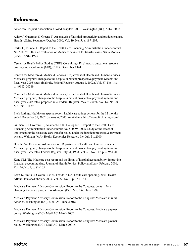# **References**

American Hospital Association. Closed hospitals–2001. Washington (DC), AHA. 2002.

Ashby J, Guterman S, Greene T. An analysis of hospital productivity and product change, Health Affairs. September/October 2000, Vol. 19, No. 5, p. 197–205.

Carter G, Rumpel D. Report to the Health Care Financing Administration under contract No. 500–92–0023, an evaluation of Medicare payment for transfer cases. Santa Monica (CA), RAND. 1993.

Center for Health Policy Studies (CHPS Consulting). Final report: outpatient resource costing study. Columbia (MD), CHPS. December 1994.

Centers for Medicare & Medicaid Services, Department of Health and Human Services. Medicare program; changes to the hospital inpatient prospective payment systems and fiscal year 2003 rates; final rule, Federal Register. August 1, 2002a, Vol. 67, No. 148, p. 49982–50289.

Centers for Medicare & Medicaid Services, Department of Health and Human Services. Medicare program; changes to the hospital inpatient prospective payment systems and fiscal year 2003 rates; proposed rule, Federal Register. May 9, 2002b, Vol. 67, No. 90, p. 31404–31689.

Fitch Ratings. Health care special report: health care ratings actions for the 12 months ended December 31, 2002. January 6, 2003. Available at http://www.fitchratings.com/.

Gillman BH, Cromwell J, Adamache KW, Donoghue S. Report to the Health Care Financing Administration under contract No. 500–95–0006. Study of the effect of implementing the postacute care transfer policy under the inpatient prospective payment system. Waltham (MA), Health Economics Research, Inc. July 31, 2000.

Health Care Financing Administration, Department of Health and Human Services. Medicare program; changes to the hospital inpatient prospective payment systems and fiscal year 1999 rates, Federal Register. July 31, 1998, Vol. 63, No. 147, p. 40954–41131.

Kane NM. The Medicare cost report and the limits of hospital accountability: improving financial accounting data, Journal of Health Politics, Policy, and Law. February 2001, Vol. 26, No. 1, p. 81–105.

Levit K, Smith C, Cowan C, et al. Trends in U.S. health care spending, 2001, Health Affairs. January/February 2003, Vol. 22, No. 1, p. 154–164.

Medicare Payment Advisory Commission. Report to the Congress: context for a changing Medicare program. Washington (DC), MedPAC. June 1998.

Medicare Payment Advisory Commission. Report to the Congress: Medicare in rural America. Washington (DC), MedPAC. June 2001a.

Medicare Payment Advisory Commission. Report to the Congress: Medicare payment policy. Washington (DC), MedPAC. March 2002.

Medicare Payment Advisory Commission. Report to the Congress: Medicare payment policy. Washington (DC), MedPAC. March 2001b.